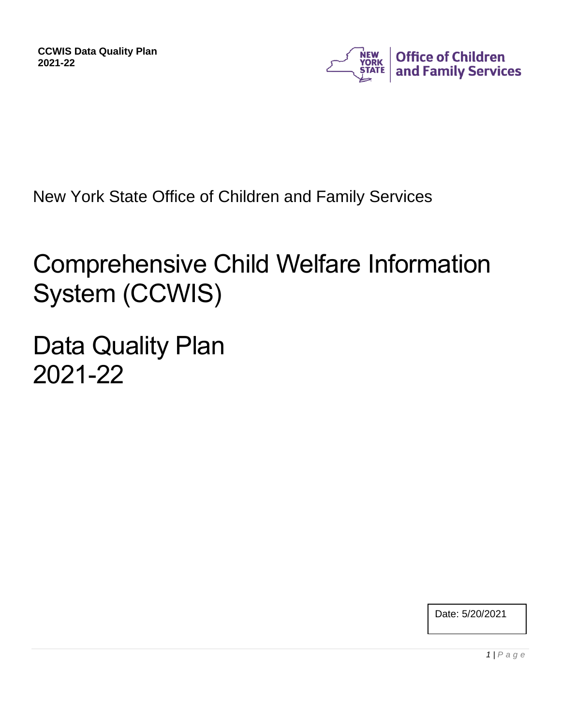

New York State Office of Children and Family Services

# Comprehensive Child Welfare Information System (CCWIS)

Data Quality Plan 2021-22

Date: 5/20/2021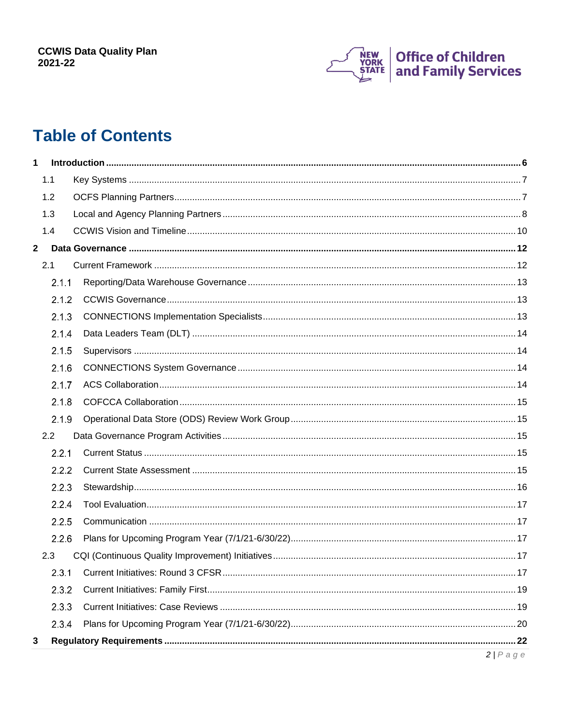

# **Table of Contents**

| 1            |       |             |
|--------------|-------|-------------|
|              | 1.1   |             |
|              | 1.2   |             |
|              | 1.3   |             |
|              | 1.4   |             |
| $\mathbf{2}$ |       |             |
|              | 2.1   |             |
|              | 2.1.1 |             |
|              | 2.1.2 |             |
|              | 2.1.3 |             |
|              | 2.1.4 |             |
|              | 2.1.5 |             |
|              | 2.1.6 |             |
|              | 2.1.7 |             |
|              | 2.1.8 |             |
|              | 2.1.9 |             |
|              | 2.2   |             |
|              | 2.2.1 |             |
|              | 2.2.2 |             |
|              | 2.2.3 |             |
|              | 2.2.4 |             |
|              | 2.2.5 |             |
|              | 2.2.6 |             |
|              | 2.3   |             |
|              | 2.3.1 |             |
|              | 2.3.2 |             |
|              | 2.3.3 |             |
|              | 2.3.4 |             |
| 3            |       |             |
|              |       | $2/P$ a g e |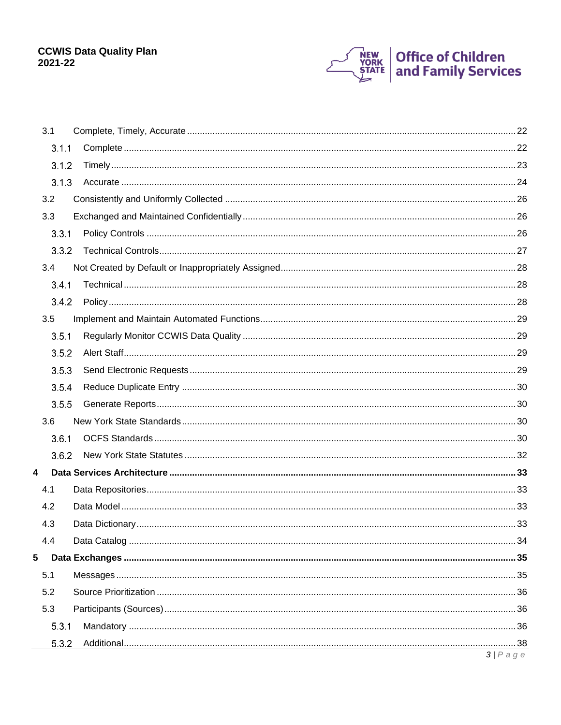

|                | 3.1   |             |
|----------------|-------|-------------|
|                | 3.1.1 |             |
|                | 3.1.2 |             |
|                | 3.1.3 |             |
|                | 3.2   |             |
|                | 3.3   |             |
|                | 3.3.1 |             |
|                | 3.3.2 |             |
|                | 3.4   |             |
|                | 3.4.1 |             |
|                | 3.4.2 |             |
|                | 3.5   |             |
|                | 3.5.1 |             |
|                | 3.5.2 |             |
|                | 3.5.3 |             |
|                | 3.5.4 |             |
|                | 3.5.5 |             |
|                | 3.6   |             |
|                | 3.6.1 |             |
|                | 3.6.2 |             |
| $\overline{4}$ |       |             |
|                | 4.1   |             |
|                | 4.2   |             |
|                | 4.3   |             |
|                | 4.4   |             |
| 5              |       |             |
|                | 5.1   |             |
|                | 5.2   |             |
|                | 5.3   |             |
|                | 5.3.1 |             |
|                | 5.3.2 |             |
|                |       | $3/P$ a g e |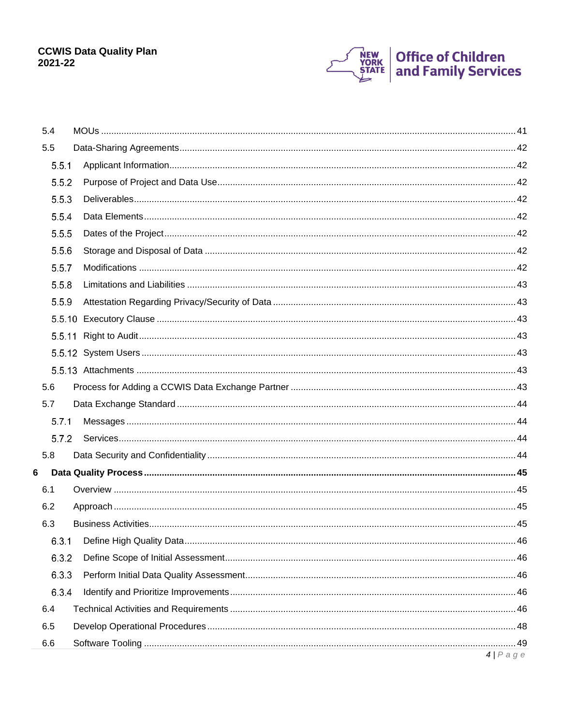

|   | 5.4   |             |
|---|-------|-------------|
|   | 5.5   |             |
|   | 5.5.1 |             |
|   | 5.5.2 |             |
|   | 5.5.3 |             |
|   | 5.5.4 |             |
|   | 5.5.5 |             |
|   | 5.5.6 |             |
|   | 5.5.7 |             |
|   | 5.5.8 |             |
|   | 5.5.9 |             |
|   |       |             |
|   |       |             |
|   |       |             |
|   |       |             |
|   | 5.6   |             |
|   | 5.7   |             |
|   | 5.7.1 |             |
|   | 5.7.2 |             |
|   | 5.8   |             |
| 6 |       |             |
|   | 6.1   |             |
|   | 6.2   |             |
|   | 6.3   |             |
|   | 6.3.1 |             |
|   | 6.3.2 |             |
|   | 6.3.3 |             |
|   | 6.3.4 |             |
|   | 6.4   |             |
|   | 6.5   |             |
|   | 6.6   |             |
|   |       | $4/P$ a g e |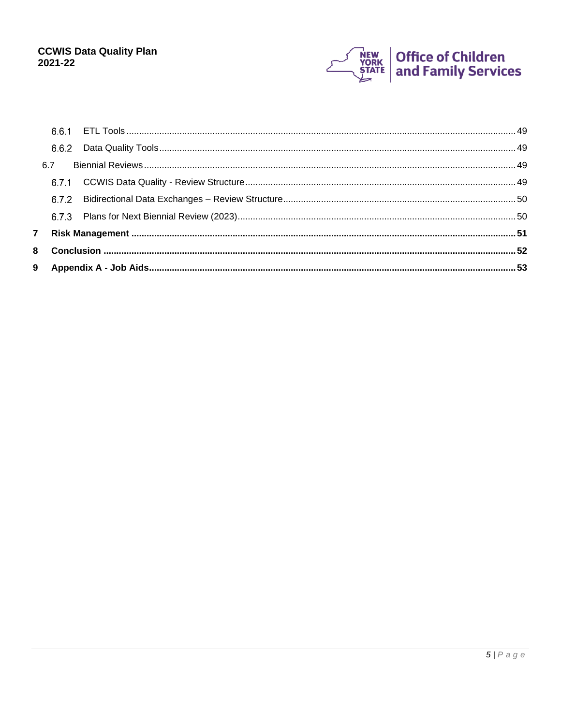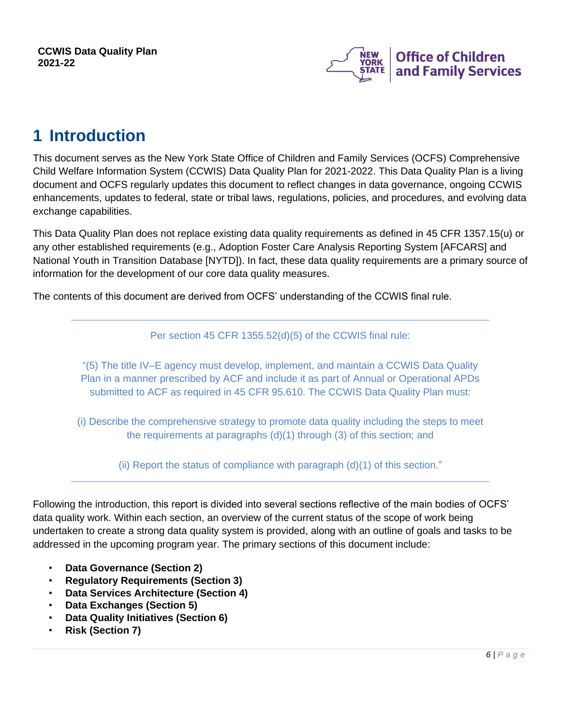

## <span id="page-5-0"></span>**1 Introduction**

This document serves as the New York State Office of Children and Family Services (OCFS) Comprehensive Child Welfare Information System (CCWIS) Data Quality Plan for 2021-2022. This Data Quality Plan is a living document and OCFS regularly updates this document to reflect changes in data governance, ongoing CCWIS enhancements, updates to federal, state or tribal laws, regulations, policies, and procedures, and evolving data exchange capabilities.

This Data Quality Plan does not replace existing data quality requirements as defined in 45 CFR 1357.15(u) or any other established requirements (e.g., Adoption Foster Care Analysis Reporting System [AFCARS] and National Youth in Transition Database [NYTD]). In fact, these data quality requirements are a primary source of information for the development of our core data quality measures.

The contents of this document are derived from OCFS' understanding of the CCWIS final rule.

Per section 45 CFR 1355.52(d)(5) of the CCWIS final rule:

"(5) The title IV–E agency must develop, implement, and maintain a CCWIS Data Quality Plan in a manner prescribed by ACF and include it as part of Annual or Operational APDs submitted to ACF as required in 45 CFR 95.610. The CCWIS Data Quality Plan must:

(i) Describe the comprehensive strategy to promote data quality including the steps to meet the requirements at paragraphs (d)(1) through (3) of this section; and

(ii) Report the status of compliance with paragraph (d)(1) of this section."

Following the introduction, this report is divided into several sections reflective of the main bodies of OCFS' data quality work. Within each section, an overview of the current status of the scope of work being undertaken to create a strong data quality system is provided, along with an outline of goals and tasks to be addressed in the upcoming program year. The primary sections of this document include:

- **Data Governance (Section 2)**
- **Regulatory Requirements (Section 3)**
- **Data Services Architecture (Section 4)**
- **Data Exchanges (Section 5)**
- **Data Quality Initiatives (Section 6)**
- **Risk (Section 7)**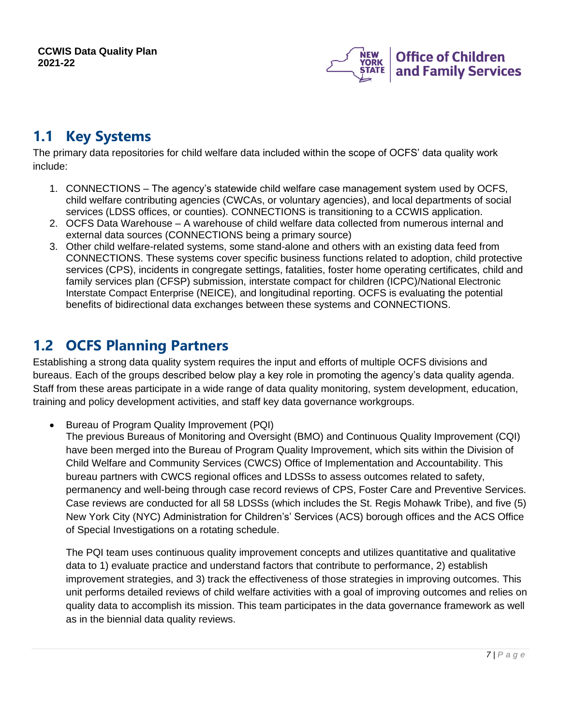

## <span id="page-6-0"></span>**1.1 Key Systems**

The primary data repositories for child welfare data included within the scope of OCFS' data quality work include:

- 1. CONNECTIONS The agency's statewide child welfare case management system used by OCFS, child welfare contributing agencies (CWCAs, or voluntary agencies), and local departments of social services (LDSS offices, or counties). CONNECTIONS is transitioning to a CCWIS application.
- 2. OCFS Data Warehouse A warehouse of child welfare data collected from numerous internal and external data sources (CONNECTIONS being a primary source)
- 3. Other child welfare-related systems, some stand-alone and others with an existing data feed from CONNECTIONS. These systems cover specific business functions related to adoption, child protective services (CPS), incidents in congregate settings, fatalities, foster home operating certificates, child and family services plan (CFSP) submission, interstate compact for children (ICPC)/National Electronic Interstate Compact Enterprise (NEICE), and longitudinal reporting. OCFS is evaluating the potential benefits of bidirectional data exchanges between these systems and CONNECTIONS.

## <span id="page-6-1"></span>**1.2 OCFS Planning Partners**

Establishing a strong data quality system requires the input and efforts of multiple OCFS divisions and bureaus. Each of the groups described below play a key role in promoting the agency's data quality agenda. Staff from these areas participate in a wide range of data quality monitoring, system development, education, training and policy development activities, and staff key data governance workgroups.

• Bureau of Program Quality Improvement (PQI)

The previous Bureaus of Monitoring and Oversight (BMO) and Continuous Quality Improvement (CQI) have been merged into the Bureau of Program Quality Improvement, which sits within the Division of Child Welfare and Community Services (CWCS) Office of Implementation and Accountability. This bureau partners with CWCS regional offices and LDSSs to assess outcomes related to safety, permanency and well-being through case record reviews of CPS, Foster Care and Preventive Services. Case reviews are conducted for all 58 LDSSs (which includes the St. Regis Mohawk Tribe), and five (5) New York City (NYC) Administration for Children's' Services (ACS) borough offices and the ACS Office of Special Investigations on a rotating schedule.

The PQI team uses continuous quality improvement concepts and utilizes quantitative and qualitative data to 1) evaluate practice and understand factors that contribute to performance, 2) establish improvement strategies, and 3) track the effectiveness of those strategies in improving outcomes. This unit performs detailed reviews of child welfare activities with a goal of improving outcomes and relies on quality data to accomplish its mission. This team participates in the data governance framework as well as in the biennial data quality reviews.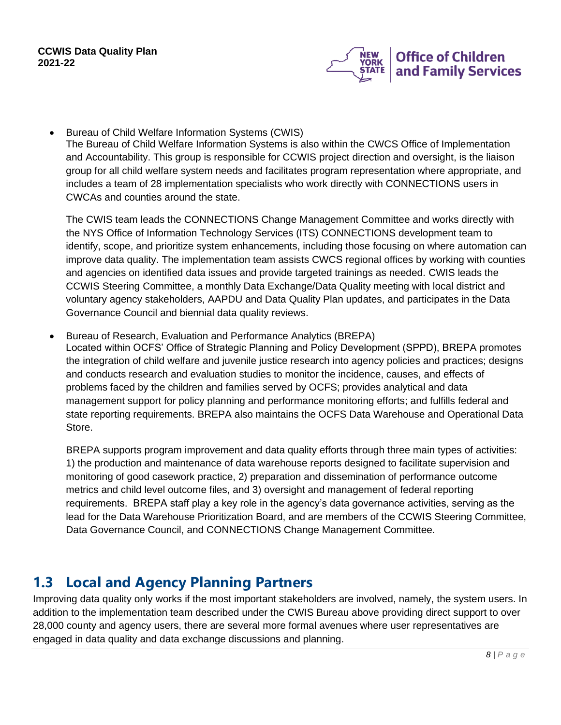

• Bureau of Child Welfare Information Systems (CWIS) The Bureau of Child Welfare Information Systems is also within the CWCS Office of Implementation and Accountability. This group is responsible for CCWIS project direction and oversight, is the liaison group for all child welfare system needs and facilitates program representation where appropriate, and includes a team of 28 implementation specialists who work directly with CONNECTIONS users in CWCAs and counties around the state.

The CWIS team leads the CONNECTIONS Change Management Committee and works directly with the NYS Office of Information Technology Services (ITS) CONNECTIONS development team to identify, scope, and prioritize system enhancements, including those focusing on where automation can improve data quality. The implementation team assists CWCS regional offices by working with counties and agencies on identified data issues and provide targeted trainings as needed. CWIS leads the CCWIS Steering Committee, a monthly Data Exchange/Data Quality meeting with local district and voluntary agency stakeholders, AAPDU and Data Quality Plan updates, and participates in the Data Governance Council and biennial data quality reviews.

• Bureau of Research, Evaluation and Performance Analytics (BREPA)

Located within OCFS' Office of Strategic Planning and Policy Development (SPPD), BREPA promotes the integration of child welfare and juvenile justice research into agency policies and practices; designs and conducts research and evaluation studies to monitor the incidence, causes, and effects of problems faced by the children and families served by OCFS; provides analytical and data management support for policy planning and performance monitoring efforts; and fulfills federal and state reporting requirements. BREPA also maintains the OCFS Data Warehouse and Operational Data Store.

BREPA supports program improvement and data quality efforts through three main types of activities: 1) the production and maintenance of data warehouse reports designed to facilitate supervision and monitoring of good casework practice, 2) preparation and dissemination of performance outcome metrics and child level outcome files, and 3) oversight and management of federal reporting requirements. BREPA staff play a key role in the agency's data governance activities, serving as the lead for the Data Warehouse Prioritization Board, and are members of the CCWIS Steering Committee, Data Governance Council, and CONNECTIONS Change Management Committee.

## <span id="page-7-0"></span>**1.3 Local and Agency Planning Partners**

Improving data quality only works if the most important stakeholders are involved, namely, the system users. In addition to the implementation team described under the CWIS Bureau above providing direct support to over 28,000 county and agency users, there are several more formal avenues where user representatives are engaged in data quality and data exchange discussions and planning.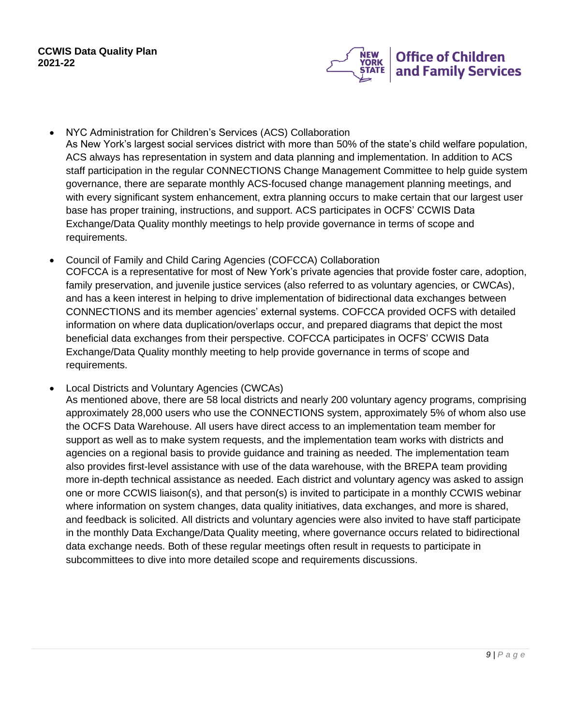

- NYC Administration for Children's Services (ACS) Collaboration As New York's largest social services district with more than 50% of the state's child welfare population, ACS always has representation in system and data planning and implementation. In addition to ACS staff participation in the regular CONNECTIONS Change Management Committee to help guide system governance, there are separate monthly ACS-focused change management planning meetings, and with every significant system enhancement, extra planning occurs to make certain that our largest user base has proper training, instructions, and support. ACS participates in OCFS' CCWIS Data Exchange/Data Quality monthly meetings to help provide governance in terms of scope and requirements.
- Council of Family and Child Caring Agencies (COFCCA) Collaboration COFCCA is a representative for most of New York's private agencies that provide foster care, adoption, family preservation, and juvenile justice services (also referred to as voluntary agencies, or CWCAs), and has a keen interest in helping to drive implementation of bidirectional data exchanges between CONNECTIONS and its member agencies' external systems. COFCCA provided OCFS with detailed information on where data duplication/overlaps occur, and prepared diagrams that depict the most beneficial data exchanges from their perspective. COFCCA participates in OCFS' CCWIS Data Exchange/Data Quality monthly meeting to help provide governance in terms of scope and requirements.
- Local Districts and Voluntary Agencies (CWCAs)

As mentioned above, there are 58 local districts and nearly 200 voluntary agency programs, comprising approximately 28,000 users who use the CONNECTIONS system, approximately 5% of whom also use the OCFS Data Warehouse. All users have direct access to an implementation team member for support as well as to make system requests, and the implementation team works with districts and agencies on a regional basis to provide guidance and training as needed. The implementation team also provides first-level assistance with use of the data warehouse, with the BREPA team providing more in-depth technical assistance as needed. Each district and voluntary agency was asked to assign one or more CCWIS liaison(s), and that person(s) is invited to participate in a monthly CCWIS webinar where information on system changes, data quality initiatives, data exchanges, and more is shared, and feedback is solicited. All districts and voluntary agencies were also invited to have staff participate in the monthly Data Exchange/Data Quality meeting, where governance occurs related to bidirectional data exchange needs. Both of these regular meetings often result in requests to participate in subcommittees to dive into more detailed scope and requirements discussions.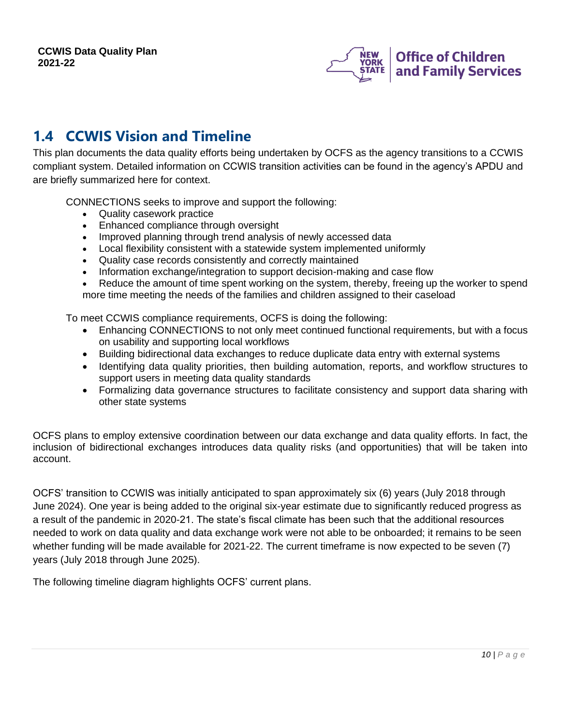

## <span id="page-9-0"></span>**1.4 CCWIS Vision and Timeline**

This plan documents the data quality efforts being undertaken by OCFS as the agency transitions to a CCWIS compliant system. Detailed information on CCWIS transition activities can be found in the agency's APDU and are briefly summarized here for context.

CONNECTIONS seeks to improve and support the following:

- Quality casework practice
- Enhanced compliance through oversight
- Improved planning through trend analysis of newly accessed data
- Local flexibility consistent with a statewide system implemented uniformly
- Quality case records consistently and correctly maintained
- Information exchange/integration to support decision-making and case flow
- Reduce the amount of time spent working on the system, thereby, freeing up the worker to spend more time meeting the needs of the families and children assigned to their caseload

To meet CCWIS compliance requirements, OCFS is doing the following:

- Enhancing CONNECTIONS to not only meet continued functional requirements, but with a focus on usability and supporting local workflows
- Building bidirectional data exchanges to reduce duplicate data entry with external systems
- Identifying data quality priorities, then building automation, reports, and workflow structures to support users in meeting data quality standards
- Formalizing data governance structures to facilitate consistency and support data sharing with other state systems

OCFS plans to employ extensive coordination between our data exchange and data quality efforts. In fact, the inclusion of bidirectional exchanges introduces data quality risks (and opportunities) that will be taken into account.

OCFS' transition to CCWIS was initially anticipated to span approximately six (6) years (July 2018 through June 2024). One year is being added to the original six-year estimate due to significantly reduced progress as a result of the pandemic in 2020-21. The state's fiscal climate has been such that the additional resources needed to work on data quality and data exchange work were not able to be onboarded; it remains to be seen whether funding will be made available for 2021-22. The current timeframe is now expected to be seven (7) years (July 2018 through June 2025).

The following timeline diagram highlights OCFS' current plans.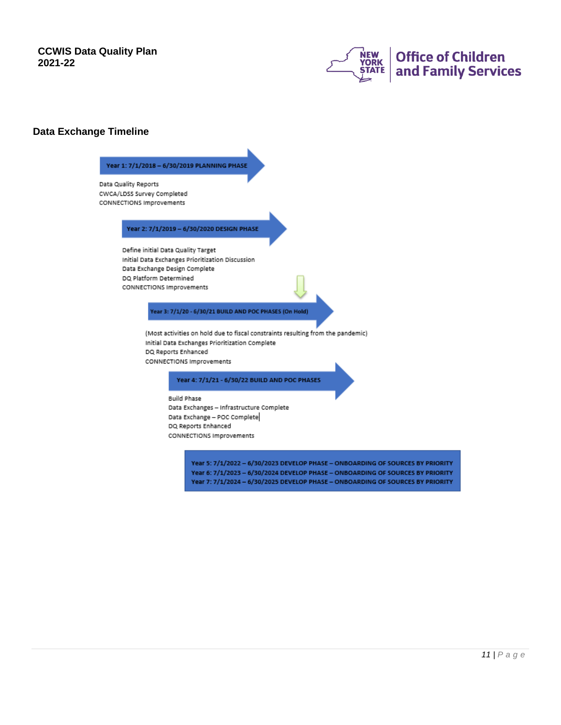

#### **Data Exchange Timeline**

#### Year 1: 7/1/2018 - 6/30/2019 PLANNING PHASE

Data Quality Reports CWCA/LDSS Survey Completed CONNECTIONS Improvements

#### Year 2: 7/1/2019 - 6/30/2020 DESIGN PHASE

Define initial Data Quality Target Initial Data Exchanges Prioritization Discussion Data Exchange Design Complete DQ Platform Determined CONNECTIONS Improvements

Year 3: 7/1/20 - 6/30/21 BUILD AND POC PHASES (On Hold)

(Most activities on hold due to fiscal constraints resulting from the pandemic) Initial Data Exchanges Prioritization Complete DQ Reports Enhanced CONNECTIONS Improvements

Year 4: 7/1/21 - 6/30/22 BUILD AND POC PHASES

**Build Phase** Data Exchanges - Infrastructure Complete Data Exchange - POC Complete DQ Reports Enhanced CONNECTIONS Improvements

> Year 5: 7/1/2022 - 6/30/2023 DEVELOP PHASE - ONBOARDING OF SOURCES BY PRIORITY Year 6: 7/1/2023 - 6/30/2024 DEVELOP PHASE - ONBOARDING OF SOURCES BY PRIORITY Year 7: 7/1/2024 - 6/30/2025 DEVELOP PHASE - ONBOARDING OF SOURCES BY PRIORITY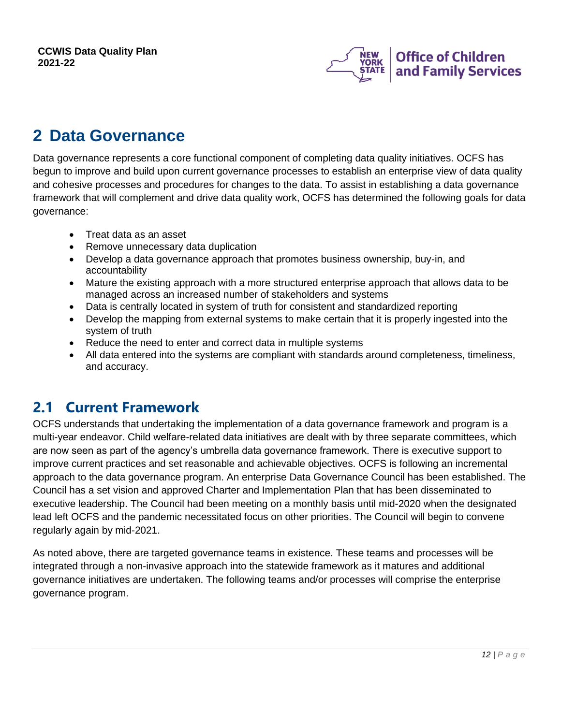

# <span id="page-11-0"></span>**2 Data Governance**

Data governance represents a core functional component of completing data quality initiatives. OCFS has begun to improve and build upon current governance processes to establish an enterprise view of data quality and cohesive processes and procedures for changes to the data. To assist in establishing a data governance framework that will complement and drive data quality work, OCFS has determined the following goals for data governance:

- Treat data as an asset
- Remove unnecessary data duplication
- Develop a data governance approach that promotes business ownership, buy-in, and accountability
- Mature the existing approach with a more structured enterprise approach that allows data to be managed across an increased number of stakeholders and systems
- Data is centrally located in system of truth for consistent and standardized reporting
- Develop the mapping from external systems to make certain that it is properly ingested into the system of truth
- Reduce the need to enter and correct data in multiple systems
- All data entered into the systems are compliant with standards around completeness, timeliness, and accuracy.

## <span id="page-11-1"></span>**2.1 Current Framework**

OCFS understands that undertaking the implementation of a data governance framework and program is a multi-year endeavor. Child welfare-related data initiatives are dealt with by three separate committees, which are now seen as part of the agency's umbrella data governance framework. There is executive support to improve current practices and set reasonable and achievable objectives. OCFS is following an incremental approach to the data governance program. An enterprise Data Governance Council has been established. The Council has a set vision and approved Charter and Implementation Plan that has been disseminated to executive leadership. The Council had been meeting on a monthly basis until mid-2020 when the designated lead left OCFS and the pandemic necessitated focus on other priorities. The Council will begin to convene regularly again by mid-2021.

As noted above, there are targeted governance teams in existence. These teams and processes will be integrated through a non-invasive approach into the statewide framework as it matures and additional governance initiatives are undertaken. The following teams and/or processes will comprise the enterprise governance program.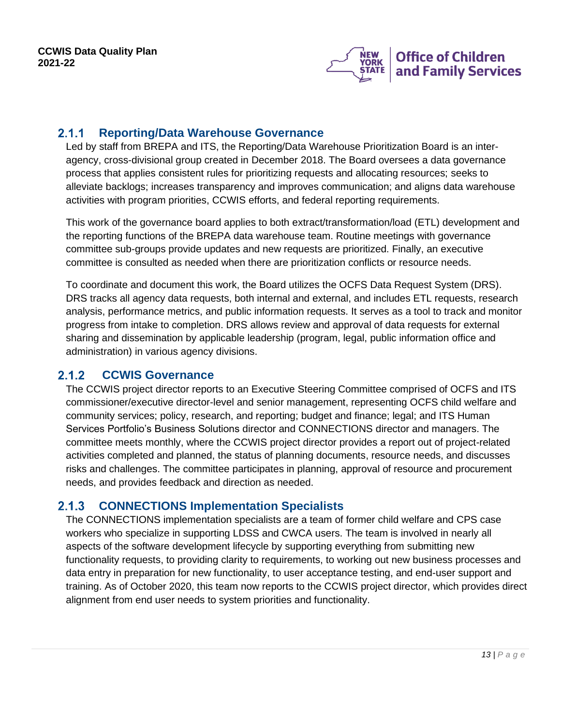

#### <span id="page-12-0"></span>**Reporting/Data Warehouse Governance**  $2.1.1$

Led by staff from BREPA and ITS, the Reporting/Data Warehouse Prioritization Board is an interagency, cross-divisional group created in December 2018. The Board oversees a data governance process that applies consistent rules for prioritizing requests and allocating resources; seeks to alleviate backlogs; increases transparency and improves communication; and aligns data warehouse activities with program priorities, CCWIS efforts, and federal reporting requirements.

This work of the governance board applies to both extract/transformation/load (ETL) development and the reporting functions of the BREPA data warehouse team. Routine meetings with governance committee sub-groups provide updates and new requests are prioritized. Finally, an executive committee is consulted as needed when there are prioritization conflicts or resource needs.

To coordinate and document this work, the Board utilizes the OCFS Data Request System (DRS). DRS tracks all agency data requests, both internal and external, and includes ETL requests, research analysis, performance metrics, and public information requests. It serves as a tool to track and monitor progress from intake to completion. DRS allows review and approval of data requests for external sharing and dissemination by applicable leadership (program, legal, public information office and administration) in various agency divisions.

#### $2.1.2$ **CCWIS Governance**

<span id="page-12-1"></span>The CCWIS project director reports to an Executive Steering Committee comprised of OCFS and ITS commissioner/executive director-level and senior management, representing OCFS child welfare and community services; policy, research, and reporting; budget and finance; legal; and ITS Human Services Portfolio's Business Solutions director and CONNECTIONS director and managers. The committee meets monthly, where the CCWIS project director provides a report out of project-related activities completed and planned, the status of planning documents, resource needs, and discusses risks and challenges. The committee participates in planning, approval of resource and procurement needs, and provides feedback and direction as needed.

#### <span id="page-12-2"></span> $2.1.3$ **CONNECTIONS Implementation Specialists**

The CONNECTIONS implementation specialists are a team of former child welfare and CPS case workers who specialize in supporting LDSS and CWCA users. The team is involved in nearly all aspects of the software development lifecycle by supporting everything from submitting new functionality requests, to providing clarity to requirements, to working out new business processes and data entry in preparation for new functionality, to user acceptance testing, and end-user support and training. As of October 2020, this team now reports to the CCWIS project director, which provides direct alignment from end user needs to system priorities and functionality.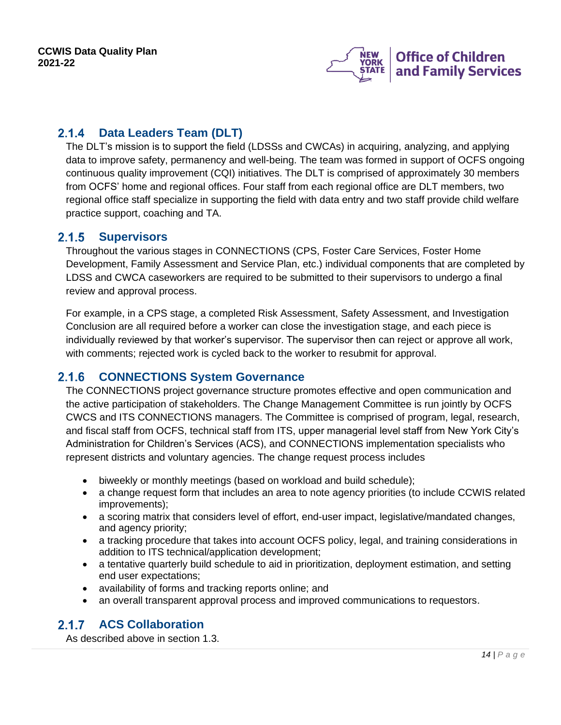

#### <span id="page-13-0"></span> $2.1.4$ **Data Leaders Team (DLT)**

The DLT's mission is to support the field (LDSSs and CWCAs) in acquiring, analyzing, and applying data to improve safety, permanency and well-being. The team was formed in support of OCFS ongoing continuous quality improvement (CQI) initiatives. The DLT is comprised of approximately 30 members from OCFS' home and regional offices. Four staff from each regional office are DLT members, two regional office staff specialize in supporting the field with data entry and two staff provide child welfare practice support, coaching and TA.

#### <span id="page-13-1"></span> $2.1.5$ **Supervisors**

Throughout the various stages in CONNECTIONS (CPS, Foster Care Services, Foster Home Development, Family Assessment and Service Plan, etc.) individual components that are completed by LDSS and CWCA caseworkers are required to be submitted to their supervisors to undergo a final review and approval process.

For example, in a CPS stage, a completed Risk Assessment, Safety Assessment, and Investigation Conclusion are all required before a worker can close the investigation stage, and each piece is individually reviewed by that worker's supervisor. The supervisor then can reject or approve all work, with comments; rejected work is cycled back to the worker to resubmit for approval.

#### <span id="page-13-2"></span> $2.1.6$ **CONNECTIONS System Governance**

The CONNECTIONS project governance structure promotes effective and open communication and the active participation of stakeholders. The Change Management Committee is run jointly by OCFS CWCS and ITS CONNECTIONS managers. The Committee is comprised of program, legal, research, and fiscal staff from OCFS, technical staff from ITS, upper managerial level staff from New York City's Administration for Children's Services (ACS), and CONNECTIONS implementation specialists who represent districts and voluntary agencies. The change request process includes

- biweekly or monthly meetings (based on workload and build schedule);
- a change request form that includes an area to note agency priorities (to include CCWIS related improvements);
- a scoring matrix that considers level of effort, end-user impact, legislative/mandated changes, and agency priority;
- a tracking procedure that takes into account OCFS policy, legal, and training considerations in addition to ITS technical/application development;
- a tentative quarterly build schedule to aid in prioritization, deployment estimation, and setting end user expectations;
- availability of forms and tracking reports online; and
- an overall transparent approval process and improved communications to requestors.

#### <span id="page-13-3"></span> $2.1.7$ **ACS Collaboration**

As described above in section 1.3.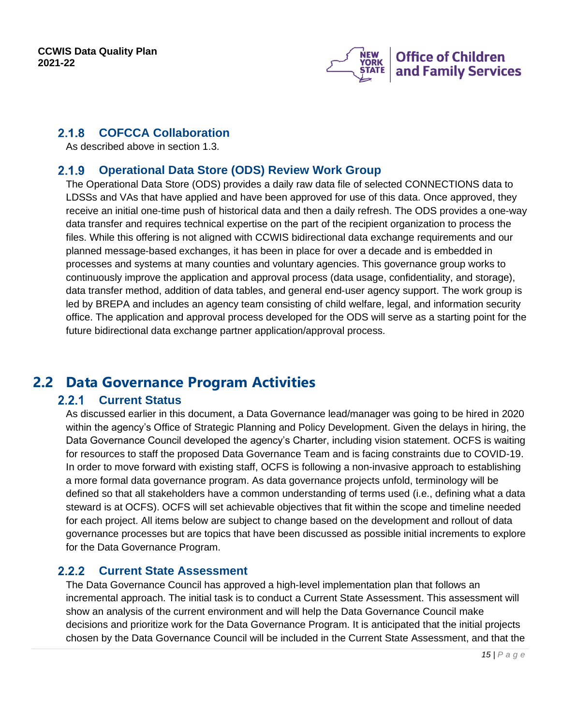

#### <span id="page-14-0"></span>**COFCCA Collaboration**  $2.1.8$

As described above in section 1.3.

#### <span id="page-14-1"></span>**Operational Data Store (ODS) Review Work Group**  $2.1.9$

The Operational Data Store (ODS) provides a daily raw data file of selected CONNECTIONS data to LDSSs and VAs that have applied and have been approved for use of this data. Once approved, they receive an initial one-time push of historical data and then a daily refresh. The ODS provides a one-way data transfer and requires technical expertise on the part of the recipient organization to process the files. While this offering is not aligned with CCWIS bidirectional data exchange requirements and our planned message-based exchanges, it has been in place for over a decade and is embedded in processes and systems at many counties and voluntary agencies. This governance group works to continuously improve the application and approval process (data usage, confidentiality, and storage), data transfer method, addition of data tables, and general end-user agency support. The work group is led by BREPA and includes an agency team consisting of child welfare, legal, and information security office. The application and approval process developed for the ODS will serve as a starting point for the future bidirectional data exchange partner application/approval process.

## <span id="page-14-3"></span><span id="page-14-2"></span>**2.2 Data Governance Program Activities**

#### $2.2.1$ **Current Status**

As discussed earlier in this document, a Data Governance lead/manager was going to be hired in 2020 within the agency's Office of Strategic Planning and Policy Development. Given the delays in hiring, the Data Governance Council developed the agency's Charter, including vision statement. OCFS is waiting for resources to staff the proposed Data Governance Team and is facing constraints due to COVID-19. In order to move forward with existing staff, OCFS is following a non-invasive approach to establishing a more formal data governance program. As data governance projects unfold, terminology will be defined so that all stakeholders have a common understanding of terms used (i.e., defining what a data steward is at OCFS). OCFS will set achievable objectives that fit within the scope and timeline needed for each project. All items below are subject to change based on the development and rollout of data governance processes but are topics that have been discussed as possible initial increments to explore for the Data Governance Program.

#### <span id="page-14-4"></span> $2.2.2$ **Current State Assessment**

The Data Governance Council has approved a high-level implementation plan that follows an incremental approach. The initial task is to conduct a Current State Assessment. This assessment will show an analysis of the current environment and will help the Data Governance Council make decisions and prioritize work for the Data Governance Program. It is anticipated that the initial projects chosen by the Data Governance Council will be included in the Current State Assessment, and that the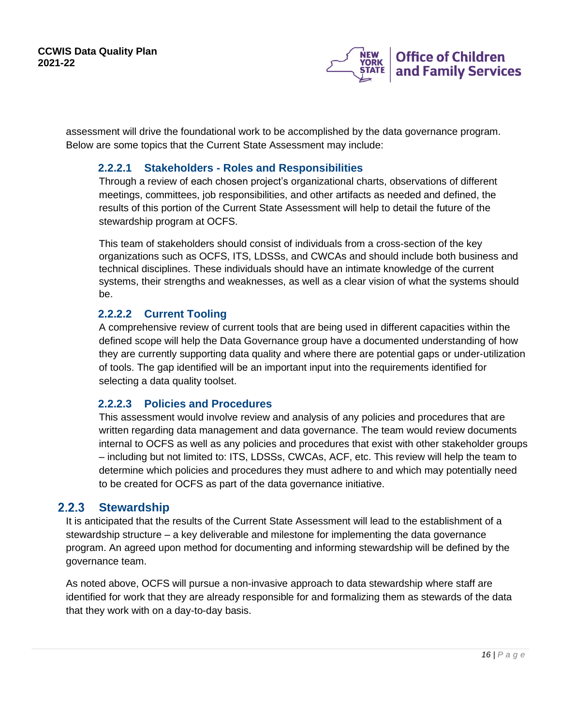

assessment will drive the foundational work to be accomplished by the data governance program. Below are some topics that the Current State Assessment may include:

### **2.2.2.1 Stakeholders - Roles and Responsibilities**

Through a review of each chosen project's organizational charts, observations of different meetings, committees, job responsibilities, and other artifacts as needed and defined, the results of this portion of the Current State Assessment will help to detail the future of the stewardship program at OCFS.

This team of stakeholders should consist of individuals from a cross-section of the key organizations such as OCFS, ITS, LDSSs, and CWCAs and should include both business and technical disciplines. These individuals should have an intimate knowledge of the current systems, their strengths and weaknesses, as well as a clear vision of what the systems should be.

### **2.2.2.2 Current Tooling**

A comprehensive review of current tools that are being used in different capacities within the defined scope will help the Data Governance group have a documented understanding of how they are currently supporting data quality and where there are potential gaps or under-utilization of tools. The gap identified will be an important input into the requirements identified for selecting a data quality toolset.

### **2.2.2.3 Policies and Procedures**

This assessment would involve review and analysis of any policies and procedures that are written regarding data management and data governance. The team would review documents internal to OCFS as well as any policies and procedures that exist with other stakeholder groups – including but not limited to: ITS, LDSSs, CWCAs, ACF, etc. This review will help the team to determine which policies and procedures they must adhere to and which may potentially need to be created for OCFS as part of the data governance initiative.

#### <span id="page-15-0"></span> $2.2.3$ **Stewardship**

It is anticipated that the results of the Current State Assessment will lead to the establishment of a stewardship structure – a key deliverable and milestone for implementing the data governance program. An agreed upon method for documenting and informing stewardship will be defined by the governance team.

As noted above, OCFS will pursue a non-invasive approach to data stewardship where staff are identified for work that they are already responsible for and formalizing them as stewards of the data that they work with on a day-to-day basis.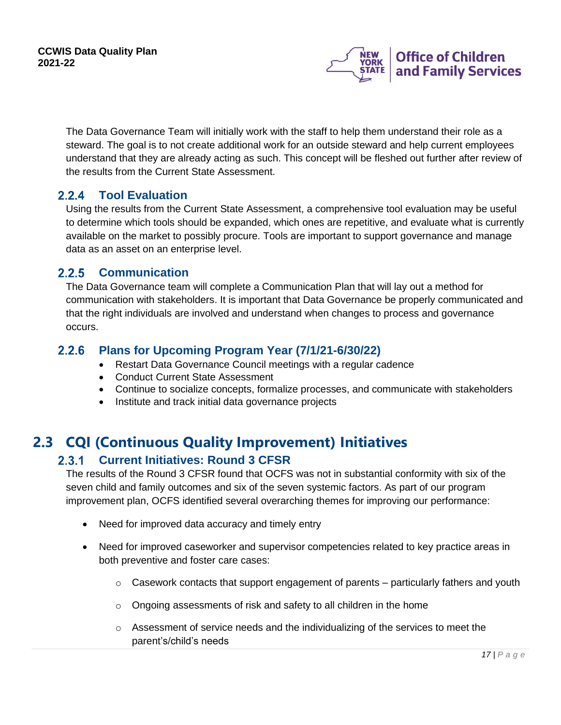

The Data Governance Team will initially work with the staff to help them understand their role as a steward. The goal is to not create additional work for an outside steward and help current employees understand that they are already acting as such. This concept will be fleshed out further after review of the results from the Current State Assessment.

#### <span id="page-16-0"></span> $2.2.4$ **Tool Evaluation**

Using the results from the Current State Assessment, a comprehensive tool evaluation may be useful to determine which tools should be expanded, which ones are repetitive, and evaluate what is currently available on the market to possibly procure. Tools are important to support governance and manage data as an asset on an enterprise level.

### <span id="page-16-1"></span>2.2.5 Communication

The Data Governance team will complete a Communication Plan that will lay out a method for communication with stakeholders. It is important that Data Governance be properly communicated and that the right individuals are involved and understand when changes to process and governance occurs.

#### <span id="page-16-2"></span> $2.2.6$ **Plans for Upcoming Program Year (7/1/21-6/30/22)**

- Restart Data Governance Council meetings with a regular cadence
- Conduct Current State Assessment
- Continue to socialize concepts, formalize processes, and communicate with stakeholders
- Institute and track initial data governance projects

## <span id="page-16-4"></span><span id="page-16-3"></span>**2.3 CQI (Continuous Quality Improvement) Initiatives**

#### $2.3.1$ **Current Initiatives: Round 3 CFSR**

The results of the Round 3 CFSR found that OCFS was not in substantial conformity with six of the seven child and family outcomes and six of the seven systemic factors. As part of our program improvement plan, OCFS identified several overarching themes for improving our performance:

- Need for improved data accuracy and timely entry
- Need for improved caseworker and supervisor competencies related to key practice areas in both preventive and foster care cases:
	- $\circ$  Casework contacts that support engagement of parents particularly fathers and youth
	- o Ongoing assessments of risk and safety to all children in the home
	- $\circ$  Assessment of service needs and the individualizing of the services to meet the parent's/child's needs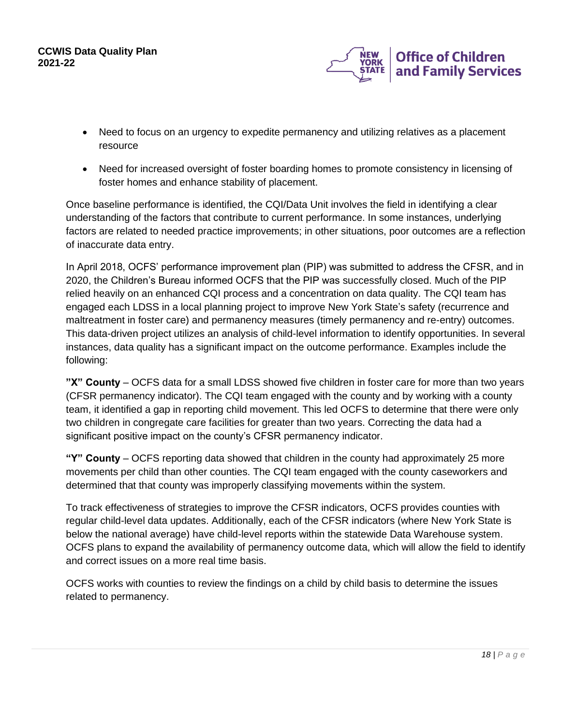

- Need to focus on an urgency to expedite permanency and utilizing relatives as a placement resource
- Need for increased oversight of foster boarding homes to promote consistency in licensing of foster homes and enhance stability of placement.

Once baseline performance is identified, the CQI/Data Unit involves the field in identifying a clear understanding of the factors that contribute to current performance. In some instances, underlying factors are related to needed practice improvements; in other situations, poor outcomes are a reflection of inaccurate data entry.

In April 2018, OCFS' performance improvement plan (PIP) was submitted to address the CFSR, and in 2020, the Children's Bureau informed OCFS that the PIP was successfully closed. Much of the PIP relied heavily on an enhanced CQI process and a concentration on data quality. The CQI team has engaged each LDSS in a local planning project to improve New York State's safety (recurrence and maltreatment in foster care) and permanency measures (timely permanency and re-entry) outcomes. This data-driven project utilizes an analysis of child-level information to identify opportunities. In several instances, data quality has a significant impact on the outcome performance. Examples include the following:

**"X" County** – OCFS data for a small LDSS showed five children in foster care for more than two years (CFSR permanency indicator). The CQI team engaged with the county and by working with a county team, it identified a gap in reporting child movement. This led OCFS to determine that there were only two children in congregate care facilities for greater than two years. Correcting the data had a significant positive impact on the county's CFSR permanency indicator.

**"Y" County** – OCFS reporting data showed that children in the county had approximately 25 more movements per child than other counties. The CQI team engaged with the county caseworkers and determined that that county was improperly classifying movements within the system.

To track effectiveness of strategies to improve the CFSR indicators, OCFS provides counties with regular child-level data updates. Additionally, each of the CFSR indicators (where New York State is below the national average) have child-level reports within the statewide Data Warehouse system. OCFS plans to expand the availability of permanency outcome data, which will allow the field to identify and correct issues on a more real time basis.

OCFS works with counties to review the findings on a child by child basis to determine the issues related to permanency.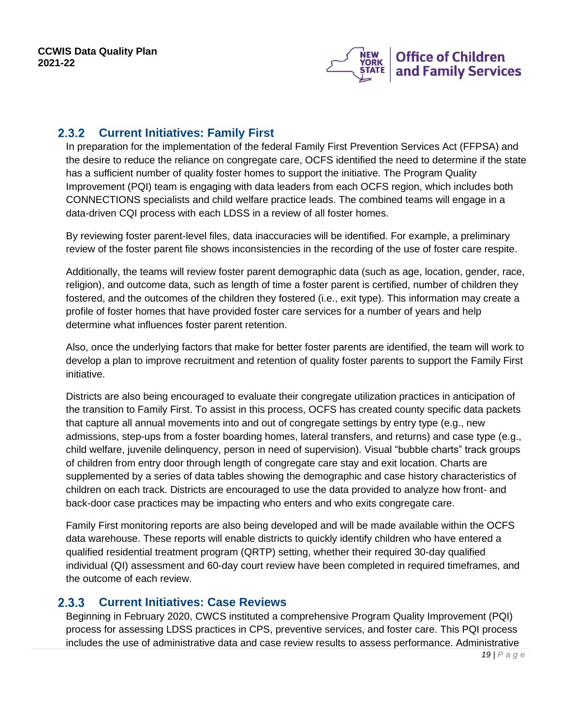

#### <span id="page-18-0"></span> $2.3.2$ **Current Initiatives: Family First**

In preparation for the implementation of the federal Family First Prevention Services Act (FFPSA) and the desire to reduce the reliance on congregate care, OCFS identified the need to determine if the state has a sufficient number of quality foster homes to support the initiative. The Program Quality Improvement (PQI) team is engaging with data leaders from each OCFS region, which includes both CONNECTIONS specialists and child welfare practice leads. The combined teams will engage in a data-driven CQI process with each LDSS in a review of all foster homes.

By reviewing foster parent-level files, data inaccuracies will be identified. For example, a preliminary review of the foster parent file shows inconsistencies in the recording of the use of foster care respite.

Additionally, the teams will review foster parent demographic data (such as age, location, gender, race, religion), and outcome data, such as length of time a foster parent is certified, number of children they fostered, and the outcomes of the children they fostered (i.e., exit type). This information may create a profile of foster homes that have provided foster care services for a number of years and help determine what influences foster parent retention.

Also, once the underlying factors that make for better foster parents are identified, the team will work to develop a plan to improve recruitment and retention of quality foster parents to support the Family First initiative.

Districts are also being encouraged to evaluate their congregate utilization practices in anticipation of the transition to Family First. To assist in this process, OCFS has created county specific data packets that capture all annual movements into and out of congregate settings by entry type (e.g., new admissions, step-ups from a foster boarding homes, lateral transfers, and returns) and case type (e.g., child welfare, juvenile delinquency, person in need of supervision). Visual "bubble charts" track groups of children from entry door through length of congregate care stay and exit location. Charts are supplemented by a series of data tables showing the demographic and case history characteristics of children on each track. Districts are encouraged to use the data provided to analyze how front- and back-door case practices may be impacting who enters and who exits congregate care.

Family First monitoring reports are also being developed and will be made available within the OCFS data warehouse. These reports will enable districts to quickly identify children who have entered a qualified residential treatment program (QRTP) setting, whether their required 30-day qualified individual (QI) assessment and 60-day court review have been completed in required timeframes, and the outcome of each review.

#### <span id="page-18-1"></span>**Current Initiatives: Case Reviews**  $2.3.3$

Beginning in February 2020, CWCS instituted a comprehensive Program Quality Improvement (PQI) process for assessing LDSS practices in CPS, preventive services, and foster care. This PQI process includes the use of administrative data and case review results to assess performance. Administrative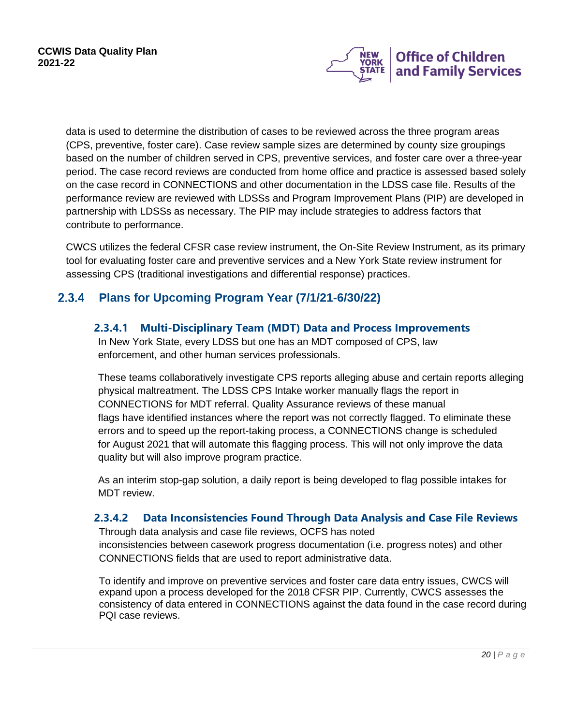

data is used to determine the distribution of cases to be reviewed across the three program areas (CPS, preventive, foster care). Case review sample sizes are determined by county size groupings based on the number of children served in CPS, preventive services, and foster care over a three-year period. The case record reviews are conducted from home office and practice is assessed based solely on the case record in CONNECTIONS and other documentation in the LDSS case file. Results of the performance review are reviewed with LDSSs and Program Improvement Plans (PIP) are developed in partnership with LDSSs as necessary. The PIP may include strategies to address factors that contribute to performance.

CWCS utilizes the federal CFSR case review instrument, the On-Site Review Instrument, as its primary tool for evaluating foster care and preventive services and a New York State review instrument for assessing CPS (traditional investigations and differential response) practices.

#### <span id="page-19-0"></span> $2.3.4$ **Plans for Upcoming Program Year (7/1/21-6/30/22)**

### **2.3.4.1 Multi-Disciplinary Team (MDT) Data and Process Improvements**

In New York State, every LDSS but one has an MDT composed of CPS, law enforcement, and other human services professionals.

These teams collaboratively investigate CPS reports alleging abuse and certain reports alleging physical maltreatment. The LDSS CPS Intake worker manually flags the report in CONNECTIONS for MDT referral. Quality Assurance reviews of these manual flags have identified instances where the report was not correctly flagged. To eliminate these errors and to speed up the report-taking process, a CONNECTIONS change is scheduled for August 2021 that will automate this flagging process. This will not only improve the data quality but will also improve program practice.

As an interim stop-gap solution, a daily report is being developed to flag possible intakes for MDT review.

### **2.3.4.2 Data Inconsistencies Found Through Data Analysis and Case File Reviews**

Through data analysis and case file reviews, OCFS has noted inconsistencies between casework progress documentation (i.e. progress notes) and other CONNECTIONS fields that are used to report administrative data.

To identify and improve on preventive services and foster care data entry issues, CWCS will expand upon a process developed for the 2018 CFSR PIP. Currently, CWCS assesses the consistency of data entered in CONNECTIONS against the data found in the case record during PQI case reviews.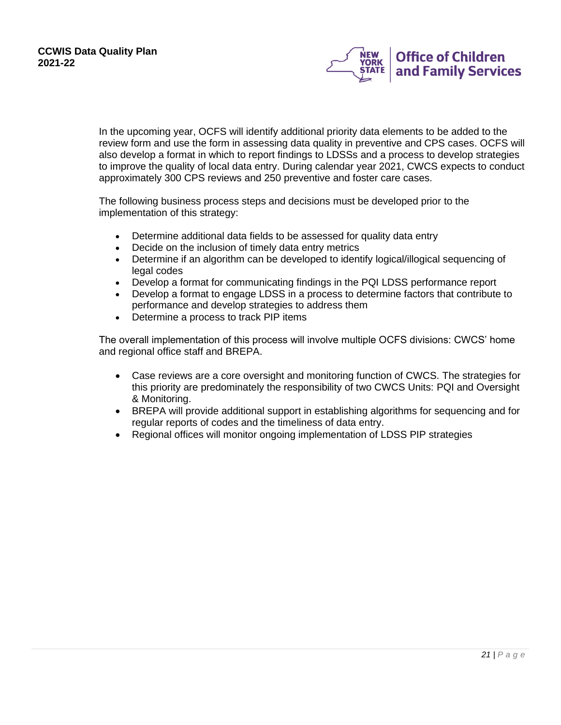

In the upcoming year, OCFS will identify additional priority data elements to be added to the review form and use the form in assessing data quality in preventive and CPS cases. OCFS will also develop a format in which to report findings to LDSSs and a process to develop strategies to improve the quality of local data entry. During calendar year 2021, CWCS expects to conduct approximately 300 CPS reviews and 250 preventive and foster care cases.

The following business process steps and decisions must be developed prior to the implementation of this strategy:

- Determine additional data fields to be assessed for quality data entry
- Decide on the inclusion of timely data entry metrics
- Determine if an algorithm can be developed to identify logical/illogical sequencing of legal codes
- Develop a format for communicating findings in the PQI LDSS performance report
- Develop a format to engage LDSS in a process to determine factors that contribute to performance and develop strategies to address them
- Determine a process to track PIP items

The overall implementation of this process will involve multiple OCFS divisions: CWCS' home and regional office staff and BREPA.

- Case reviews are a core oversight and monitoring function of CWCS. The strategies for this priority are predominately the responsibility of two CWCS Units: PQI and Oversight & Monitoring.
- BREPA will provide additional support in establishing algorithms for sequencing and for regular reports of codes and the timeliness of data entry.
- Regional offices will monitor ongoing implementation of LDSS PIP strategies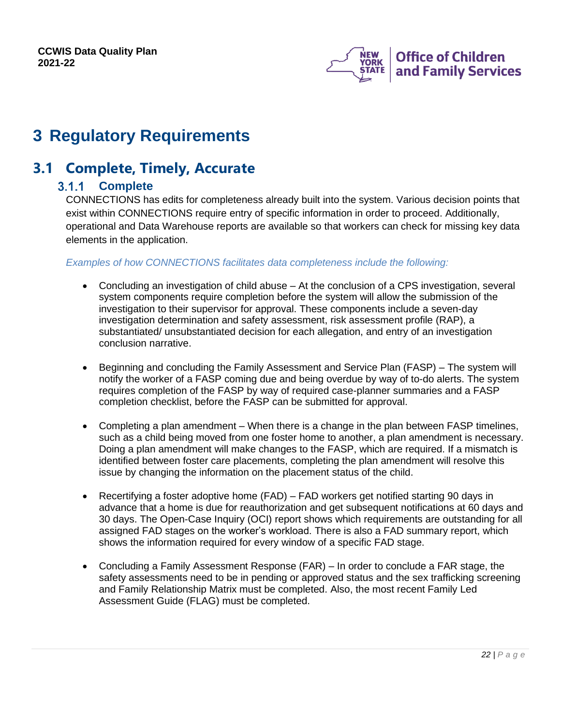

# <span id="page-21-0"></span>**3 Regulatory Requirements**

## <span id="page-21-2"></span><span id="page-21-1"></span>**3.1 Complete, Timely, Accurate**

### **Complete**

CONNECTIONS has edits for completeness already built into the system. Various decision points that exist within CONNECTIONS require entry of specific information in order to proceed. Additionally, operational and Data Warehouse reports are available so that workers can check for missing key data elements in the application.

### *Examples of how CONNECTIONS facilitates data completeness include the following:*

- Concluding an investigation of child abuse At the conclusion of a CPS investigation, several system components require completion before the system will allow the submission of the investigation to their supervisor for approval. These components include a seven-day investigation determination and safety assessment, risk assessment profile (RAP), a substantiated/ unsubstantiated decision for each allegation, and entry of an investigation conclusion narrative.
- Beginning and concluding the Family Assessment and Service Plan (FASP) The system will notify the worker of a FASP coming due and being overdue by way of to-do alerts. The system requires completion of the FASP by way of required case-planner summaries and a FASP completion checklist, before the FASP can be submitted for approval.
- Completing a plan amendment When there is a change in the plan between FASP timelines, such as a child being moved from one foster home to another, a plan amendment is necessary. Doing a plan amendment will make changes to the FASP, which are required. If a mismatch is identified between foster care placements, completing the plan amendment will resolve this issue by changing the information on the placement status of the child.
- Recertifying a foster adoptive home (FAD) FAD workers get notified starting 90 days in advance that a home is due for reauthorization and get subsequent notifications at 60 days and 30 days. The Open-Case Inquiry (OCI) report shows which requirements are outstanding for all assigned FAD stages on the worker's workload. There is also a FAD summary report, which shows the information required for every window of a specific FAD stage.
- Concluding a Family Assessment Response (FAR) In order to conclude a FAR stage, the safety assessments need to be in pending or approved status and the sex trafficking screening and Family Relationship Matrix must be completed. Also, the most recent Family Led Assessment Guide (FLAG) must be completed.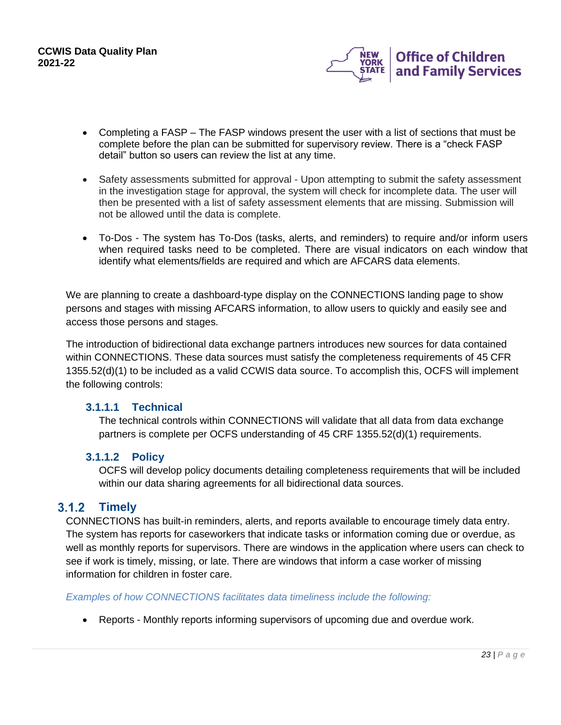

- Completing a FASP The FASP windows present the user with a list of sections that must be complete before the plan can be submitted for supervisory review. There is a "check FASP detail" button so users can review the list at any time.
- Safety assessments submitted for approval Upon attempting to submit the safety assessment in the investigation stage for approval, the system will check for incomplete data. The user will then be presented with a list of safety assessment elements that are missing. Submission will not be allowed until the data is complete.
- To-Dos The system has To-Dos (tasks, alerts, and reminders) to require and/or inform users when required tasks need to be completed. There are visual indicators on each window that identify what elements/fields are required and which are AFCARS data elements.

We are planning to create a dashboard-type display on the CONNECTIONS landing page to show persons and stages with missing AFCARS information, to allow users to quickly and easily see and access those persons and stages.

The introduction of bidirectional data exchange partners introduces new sources for data contained within CONNECTIONS. These data sources must satisfy the completeness requirements of 45 CFR 1355.52(d)(1) to be included as a valid CCWIS data source. To accomplish this, OCFS will implement the following controls:

### **3.1.1.1 Technical**

The technical controls within CONNECTIONS will validate that all data from data exchange partners is complete per OCFS understanding of 45 CRF 1355.52(d)(1) requirements.

### **3.1.1.2 Policy**

OCFS will develop policy documents detailing completeness requirements that will be included within our data sharing agreements for all bidirectional data sources.

#### <span id="page-22-0"></span> $3.1.2$ **Timely**

CONNECTIONS has built-in reminders, alerts, and reports available to encourage timely data entry. The system has reports for caseworkers that indicate tasks or information coming due or overdue, as well as monthly reports for supervisors. There are windows in the application where users can check to see if work is timely, missing, or late. There are windows that inform a case worker of missing information for children in foster care.

### *Examples of how CONNECTIONS facilitates data timeliness include the following:*

• Reports - Monthly reports informing supervisors of upcoming due and overdue work.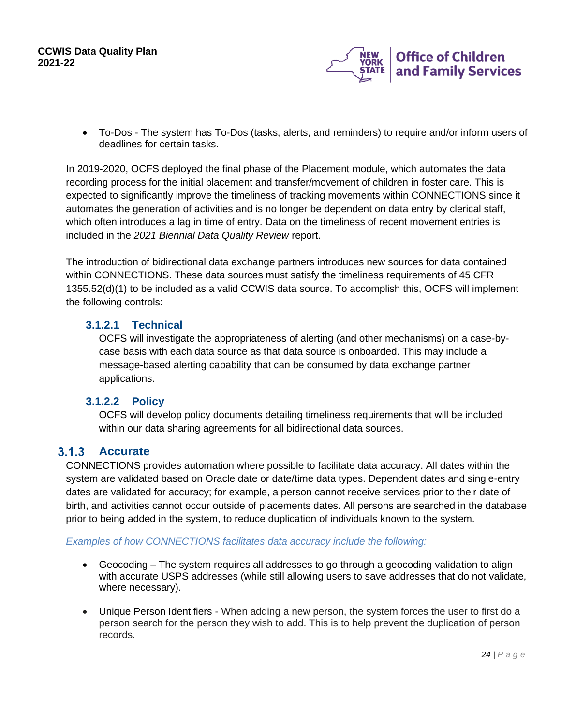

• To-Dos - The system has To-Dos (tasks, alerts, and reminders) to require and/or inform users of deadlines for certain tasks.

In 2019-2020, OCFS deployed the final phase of the Placement module, which automates the data recording process for the initial placement and transfer/movement of children in foster care. This is expected to significantly improve the timeliness of tracking movements within CONNECTIONS since it automates the generation of activities and is no longer be dependent on data entry by clerical staff, which often introduces a lag in time of entry. Data on the timeliness of recent movement entries is included in the *2021 Biennial Data Quality Review* report.

The introduction of bidirectional data exchange partners introduces new sources for data contained within CONNECTIONS. These data sources must satisfy the timeliness requirements of 45 CFR 1355.52(d)(1) to be included as a valid CCWIS data source. To accomplish this, OCFS will implement the following controls:

### **3.1.2.1 Technical**

OCFS will investigate the appropriateness of alerting (and other mechanisms) on a case-bycase basis with each data source as that data source is onboarded. This may include a message-based alerting capability that can be consumed by data exchange partner applications.

### **3.1.2.2 Policy**

OCFS will develop policy documents detailing timeliness requirements that will be included within our data sharing agreements for all bidirectional data sources.

### <span id="page-23-0"></span>**Accurate**

CONNECTIONS provides automation where possible to facilitate data accuracy. All dates within the system are validated based on Oracle date or date/time data types. Dependent dates and single-entry dates are validated for accuracy; for example, a person cannot receive services prior to their date of birth, and activities cannot occur outside of placements dates. All persons are searched in the database prior to being added in the system, to reduce duplication of individuals known to the system.

### *Examples of how CONNECTIONS facilitates data accuracy include the following:*

- Geocoding The system requires all addresses to go through a geocoding validation to align with accurate USPS addresses (while still allowing users to save addresses that do not validate, where necessary).
- Unique Person Identifiers When adding a new person, the system forces the user to first do a person search for the person they wish to add. This is to help prevent the duplication of person records.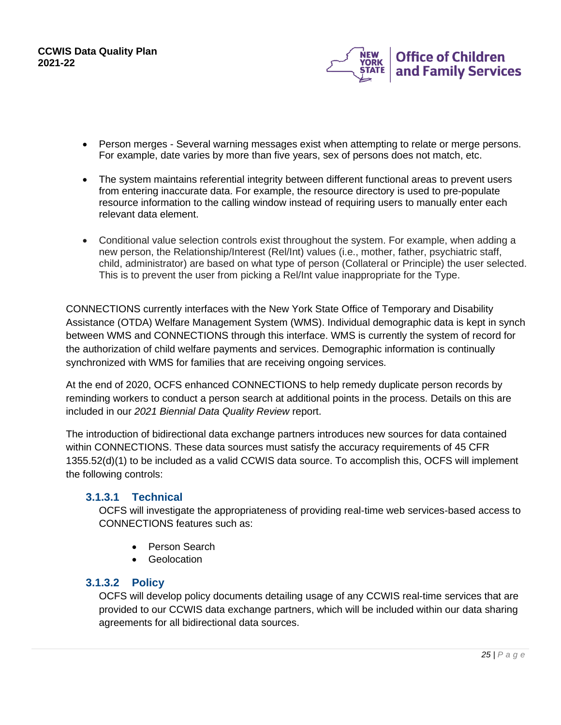

- Person merges Several warning messages exist when attempting to relate or merge persons. For example, date varies by more than five years, sex of persons does not match, etc.
- The system maintains referential integrity between different functional areas to prevent users from entering inaccurate data. For example, the resource directory is used to pre-populate resource information to the calling window instead of requiring users to manually enter each relevant data element.
- Conditional value selection controls exist throughout the system. For example, when adding a new person, the Relationship/Interest (Rel/Int) values (i.e., mother, father, psychiatric staff, child, administrator) are based on what type of person (Collateral or Principle) the user selected. This is to prevent the user from picking a Rel/Int value inappropriate for the Type.

CONNECTIONS currently interfaces with the New York State Office of Temporary and Disability Assistance (OTDA) Welfare Management System (WMS). Individual demographic data is kept in synch between WMS and CONNECTIONS through this interface. WMS is currently the system of record for the authorization of child welfare payments and services. Demographic information is continually synchronized with WMS for families that are receiving ongoing services.

At the end of 2020, OCFS enhanced CONNECTIONS to help remedy duplicate person records by reminding workers to conduct a person search at additional points in the process. Details on this are included in our *2021 Biennial Data Quality Review* report.

The introduction of bidirectional data exchange partners introduces new sources for data contained within CONNECTIONS. These data sources must satisfy the accuracy requirements of 45 CFR 1355.52(d)(1) to be included as a valid CCWIS data source. To accomplish this, OCFS will implement the following controls:

### **3.1.3.1 Technical**

OCFS will investigate the appropriateness of providing real-time web services-based access to CONNECTIONS features such as:

- Person Search
- Geolocation

### **3.1.3.2 Policy**

OCFS will develop policy documents detailing usage of any CCWIS real-time services that are provided to our CCWIS data exchange partners, which will be included within our data sharing agreements for all bidirectional data sources.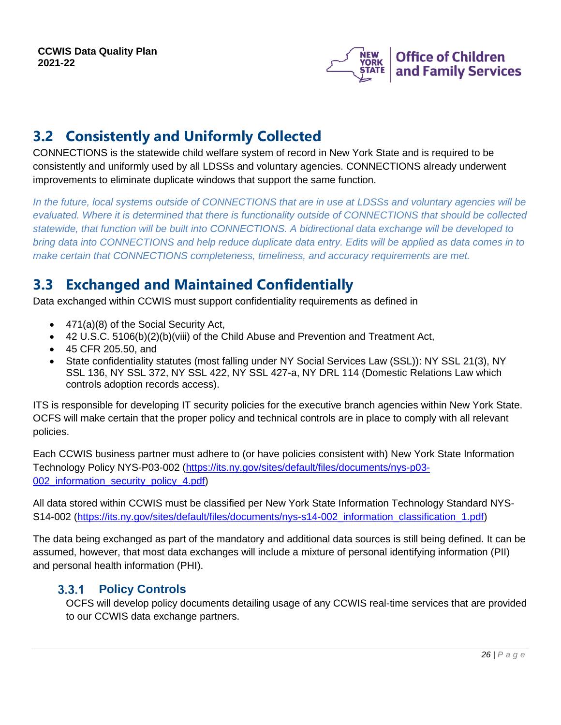

## <span id="page-25-0"></span>**3.2 Consistently and Uniformly Collected**

CONNECTIONS is the statewide child welfare system of record in New York State and is required to be consistently and uniformly used by all LDSSs and voluntary agencies. CONNECTIONS already underwent improvements to eliminate duplicate windows that support the same function.

*In the future, local systems outside of CONNECTIONS that are in use at LDSSs and voluntary agencies will be*  evaluated. Where it is determined that there is functionality outside of CONNECTIONS that should be collected *statewide, that function will be built into CONNECTIONS. A bidirectional data exchange will be developed to bring data into CONNECTIONS and help reduce duplicate data entry. Edits will be applied as data comes in to make certain that CONNECTIONS completeness, timeliness, and accuracy requirements are met.*

## <span id="page-25-1"></span>**3.3 Exchanged and Maintained Confidentially**

Data exchanged within CCWIS must support confidentiality requirements as defined in

- 471(a)(8) of the Social Security Act,
- 42 U.S.C. 5106(b)(2)(b)(viii) of the Child Abuse and Prevention and Treatment Act,
- 45 CFR 205.50, and
- State confidentiality statutes (most falling under NY Social Services Law (SSL)): NY SSL 21(3), NY SSL 136, NY SSL 372, NY SSL 422, NY SSL 427-a, NY DRL 114 (Domestic Relations Law which controls adoption records access).

ITS is responsible for developing IT security policies for the executive branch agencies within New York State. OCFS will make certain that the proper policy and technical controls are in place to comply with all relevant policies.

Each CCWIS business partner must adhere to (or have policies consistent with) New York State Information Technology Policy NYS-P03-002 [\(https://its.ny.gov/sites/default/files/documents/nys-p03-](https://its.ny.gov/sites/default/files/documents/nys-p03-002_information_security_policy_4.pdf) 002 information security policy 4.pdf)

All data stored within CCWIS must be classified per New York State Information Technology Standard NYS-S14-002 (https://its.ny.gov/sites/default/files/documents/nys-s14-002 information classification 1.pdf)

The data being exchanged as part of the mandatory and additional data sources is still being defined. It can be assumed, however, that most data exchanges will include a mixture of personal identifying information (PII) and personal health information (PHI).

#### <span id="page-25-2"></span>**Policy Controls**  $3.3.1$

OCFS will develop policy documents detailing usage of any CCWIS real-time services that are provided to our CCWIS data exchange partners.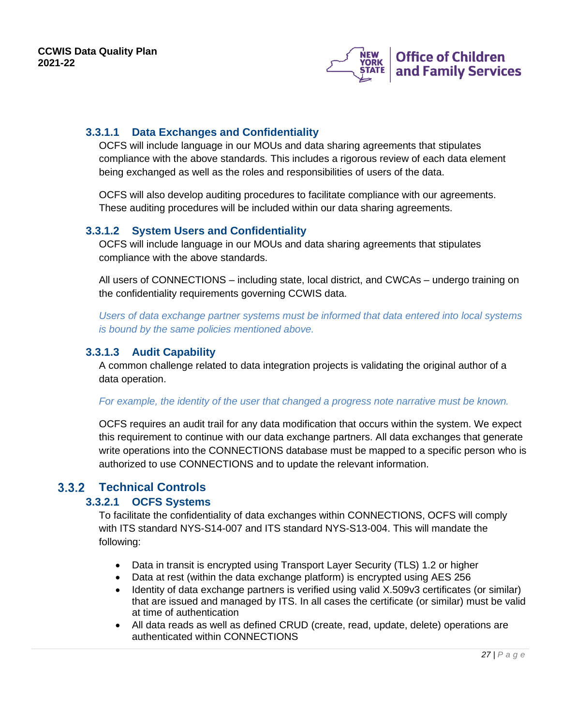

### **3.3.1.1 Data Exchanges and Confidentiality**

OCFS will include language in our MOUs and data sharing agreements that stipulates compliance with the above standards. This includes a rigorous review of each data element being exchanged as well as the roles and responsibilities of users of the data.

OCFS will also develop auditing procedures to facilitate compliance with our agreements. These auditing procedures will be included within our data sharing agreements.

### **3.3.1.2 System Users and Confidentiality**

OCFS will include language in our MOUs and data sharing agreements that stipulates compliance with the above standards.

All users of CONNECTIONS – including state, local district, and CWCAs – undergo training on the confidentiality requirements governing CCWIS data.

*Users of data exchange partner systems must be informed that data entered into local systems is bound by the same policies mentioned above.*

### **3.3.1.3 Audit Capability**

A common challenge related to data integration projects is validating the original author of a data operation.

### *For example, the identity of the user that changed a progress note narrative must be known.*

OCFS requires an audit trail for any data modification that occurs within the system. We expect this requirement to continue with our data exchange partners. All data exchanges that generate write operations into the CONNECTIONS database must be mapped to a specific person who is authorized to use CONNECTIONS and to update the relevant information.

### <span id="page-26-0"></span>**Technical Controls**

### **3.3.2.1 OCFS Systems**

To facilitate the confidentiality of data exchanges within CONNECTIONS, OCFS will comply with ITS standard NYS-S14-007 and ITS standard NYS-S13-004. This will mandate the following:

- Data in transit is encrypted using Transport Layer Security (TLS) 1.2 or higher
- Data at rest (within the data exchange platform) is encrypted using AES 256
- Identity of data exchange partners is verified using valid X.509v3 certificates (or similar) that are issued and managed by ITS. In all cases the certificate (or similar) must be valid at time of authentication
- All data reads as well as defined CRUD (create, read, update, delete) operations are authenticated within CONNECTIONS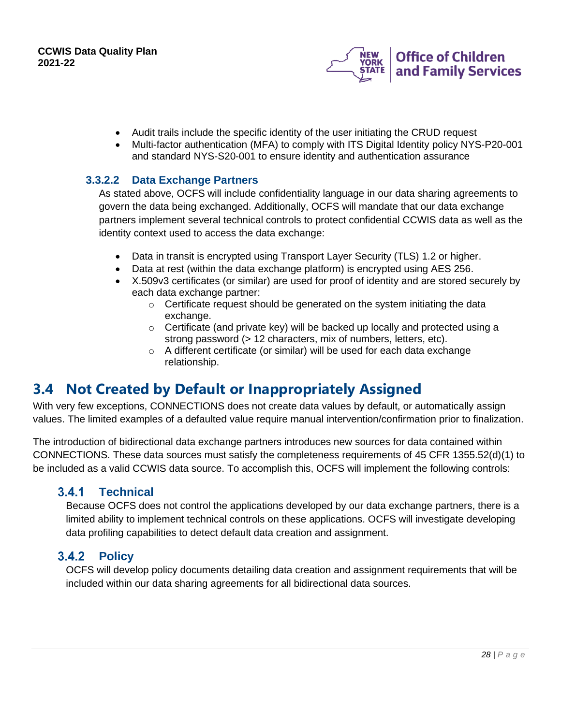

- Audit trails include the specific identity of the user initiating the CRUD request
- Multi-factor authentication (MFA) to comply with ITS Digital Identity policy NYS-P20-001 and standard NYS-S20-001 to ensure identity and authentication assurance

### **3.3.2.2 Data Exchange Partners**

As stated above, OCFS will include confidentiality language in our data sharing agreements to govern the data being exchanged. Additionally, OCFS will mandate that our data exchange partners implement several technical controls to protect confidential CCWIS data as well as the identity context used to access the data exchange:

- Data in transit is encrypted using Transport Layer Security (TLS) 1.2 or higher.
- Data at rest (within the data exchange platform) is encrypted using AES 256.
- X.509v3 certificates (or similar) are used for proof of identity and are stored securely by each data exchange partner:
	- o Certificate request should be generated on the system initiating the data exchange.
	- o Certificate (and private key) will be backed up locally and protected using a strong password (> 12 characters, mix of numbers, letters, etc).
	- o A different certificate (or similar) will be used for each data exchange relationship.

## <span id="page-27-0"></span>**3.4 Not Created by Default or Inappropriately Assigned**

With very few exceptions, CONNECTIONS does not create data values by default, or automatically assign values. The limited examples of a defaulted value require manual intervention/confirmation prior to finalization.

The introduction of bidirectional data exchange partners introduces new sources for data contained within CONNECTIONS. These data sources must satisfy the completeness requirements of 45 CFR 1355.52(d)(1) to be included as a valid CCWIS data source. To accomplish this, OCFS will implement the following controls:

#### <span id="page-27-1"></span> $3.4.1$ **Technical**

Because OCFS does not control the applications developed by our data exchange partners, there is a limited ability to implement technical controls on these applications. OCFS will investigate developing data profiling capabilities to detect default data creation and assignment.

#### <span id="page-27-2"></span> $3.4.2$ **Policy**

OCFS will develop policy documents detailing data creation and assignment requirements that will be included within our data sharing agreements for all bidirectional data sources.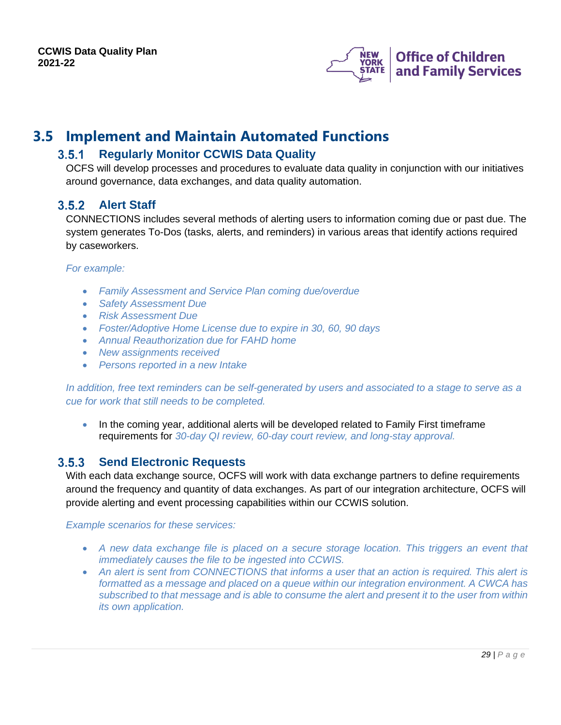

## <span id="page-28-1"></span><span id="page-28-0"></span>**3.5 Implement and Maintain Automated Functions**

#### $3.5.1$ **Regularly Monitor CCWIS Data Quality**

OCFS will develop processes and procedures to evaluate data quality in conjunction with our initiatives around governance, data exchanges, and data quality automation.

### <span id="page-28-2"></span>**Alert Staff**

CONNECTIONS includes several methods of alerting users to information coming due or past due. The system generates To-Dos (tasks, alerts, and reminders) in various areas that identify actions required by caseworkers.

### *For example:*

- *Family Assessment and Service Plan coming due/overdue*
- *Safety Assessment Due*
- *Risk Assessment Due*
- *Foster/Adoptive Home License due to expire in 30, 60, 90 days*
- *Annual Reauthorization due for FAHD home*
- *New assignments received*
- *Persons reported in a new Intake*

*In addition, free text reminders can be self-generated by users and associated to a stage to serve as a cue for work that still needs to be completed.*

• In the coming year, additional alerts will be developed related to Family First timeframe requirements for *30-day QI review, 60-day court review, and long-stay approval.*

#### <span id="page-28-3"></span> $3.5.3$ **Send Electronic Requests**

With each data exchange source, OCFS will work with data exchange partners to define requirements around the frequency and quantity of data exchanges. As part of our integration architecture, OCFS will provide alerting and event processing capabilities within our CCWIS solution.

### *Example scenarios for these services:*

- *A new data exchange file is placed on a secure storage location. This triggers an event that immediately causes the file to be ingested into CCWIS.*
- *An alert is sent from CONNECTIONS that informs a user that an action is required. This alert is formatted as a message and placed on a queue within our integration environment. A CWCA has subscribed to that message and is able to consume the alert and present it to the user from within its own application.*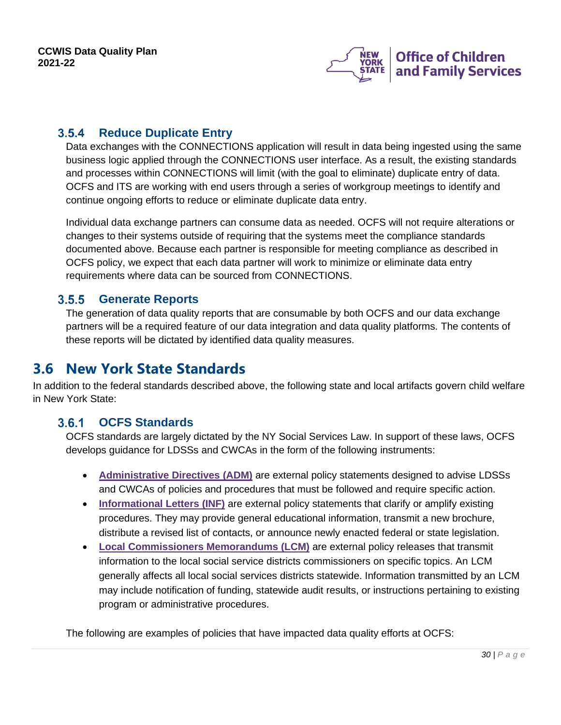

#### <span id="page-29-0"></span>**Reduce Duplicate Entry**  $3.5.4$

Data exchanges with the CONNECTIONS application will result in data being ingested using the same business logic applied through the CONNECTIONS user interface. As a result, the existing standards and processes within CONNECTIONS will limit (with the goal to eliminate) duplicate entry of data. OCFS and ITS are working with end users through a series of workgroup meetings to identify and continue ongoing efforts to reduce or eliminate duplicate data entry.

Individual data exchange partners can consume data as needed. OCFS will not require alterations or changes to their systems outside of requiring that the systems meet the compliance standards documented above. Because each partner is responsible for meeting compliance as described in OCFS policy, we expect that each data partner will work to minimize or eliminate data entry requirements where data can be sourced from CONNECTIONS.

#### <span id="page-29-1"></span> $3.5.5$ **Generate Reports**

The generation of data quality reports that are consumable by both OCFS and our data exchange partners will be a required feature of our data integration and data quality platforms. The contents of these reports will be dictated by identified data quality measures.

## <span id="page-29-2"></span>**3.6 New York State Standards**

In addition to the federal standards described above, the following state and local artifacts govern child welfare in New York State:

#### <span id="page-29-3"></span> $3.6.1$ **OCFS Standards**

OCFS standards are largely dictated by the NY Social Services Law. In support of these laws, OCFS develops guidance for LDSSs and CWCAs in the form of the following instruments:

- **[Administrative](https://ocfs.ny.gov/main/policies/external/#ADM) Directives (ADM)** are external policy statements designed to advise LDSSs and CWCAs of policies and procedures that must be followed and require specific action.
- **[Informational](https://ocfs.ny.gov/main/policies/external/#INF) Letters (INF)** are external policy statements that clarify or amplify existing procedures. They may provide general educational information, transmit a new brochure, distribute a revised list of contacts, or announce newly enacted federal or state legislation.
- **Local [Commissioners](https://ocfs.ny.gov/main/policies/external/#LCM) Memorandums (LCM)** are external policy releases that transmit information to the local social service districts commissioners on specific topics. An LCM generally affects all local social services districts statewide. Information transmitted by an LCM may include notification of funding, statewide audit results, or instructions pertaining to existing program or administrative procedures.

The following are examples of policies that have impacted data quality efforts at OCFS: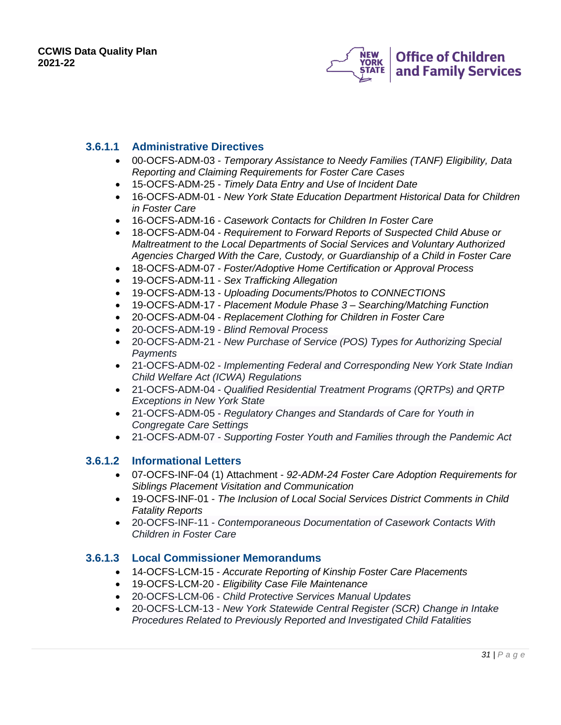

### **3.6.1.1 Administrative Directives**

- 00-OCFS-ADM-03 *Temporary Assistance to Needy Families (TANF) Eligibility, Data Reporting and Claiming Requirements for Foster Care Cases*
- 15-OCFS-ADM-25 *Timely Data Entry and Use of Incident Date*
- 16-OCFS-ADM-01 *New York State Education Department Historical Data for Children in Foster Care*
- 16-OCFS-ADM-16 *Casework Contacts for Children In Foster Care*
- 18-OCFS-ADM-04 *Requirement to Forward Reports of Suspected Child Abuse or Maltreatment to the Local Departments of Social Services and Voluntary Authorized Agencies Charged With the Care, Custody, or Guardianship of a Child in Foster Care*
- 18-OCFS-ADM-07 *Foster/Adoptive Home Certification or Approval Process*
- 19-OCFS-ADM-11 *Sex Trafficking Allegation*
- 19-OCFS-ADM-13 *Uploading Documents/Photos to CONNECTIONS*
- 19-OCFS-ADM-17 *Placement Module Phase 3 – Searching/Matching Function*
- 20-OCFS-ADM-04 *Replacement Clothing for Children in Foster Care*
- 20-OCFS-ADM-19 *Blind Removal Process*
- 20-OCFS-ADM-21 *New Purchase of Service (POS) Types for Authorizing Special Payments*
- 21-OCFS-ADM-02 *Implementing Federal and Corresponding New York State Indian Child Welfare Act (ICWA) Regulations*
- 21-OCFS-ADM-04 *Qualified Residential Treatment Programs (QRTPs) and QRTP Exceptions in New York State*
- 21-OCFS-ADM-05 *Regulatory Changes and Standards of Care for Youth in Congregate Care Settings*
- 21-OCFS-ADM-07 *Supporting Foster Youth and Families through the Pandemic Act*

### **3.6.1.2 Informational Letters**

- 07-OCFS-INF-04 (1) Attachment *92-ADM-24 Foster Care Adoption Requirements for Siblings Placement Visitation and Communication*
- 19-OCFS-INF-01 *The Inclusion of Local Social Services District Comments in Child Fatality Reports*
- 20-OCFS-INF-11 *Contemporaneous Documentation of Casework Contacts With Children in Foster Care*

### **3.6.1.3 Local Commissioner Memorandums**

- 14-OCFS-LCM-15 *Accurate Reporting of Kinship Foster Care Placements*
- 19-OCFS-LCM-20 *Eligibility Case File Maintenance*
- 20-OCFS-LCM-06 *Child Protective Services Manual Updates*
- 20-OCFS-LCM-13 *New York Statewide Central Register (SCR) Change in Intake Procedures Related to Previously Reported and Investigated Child Fatalities*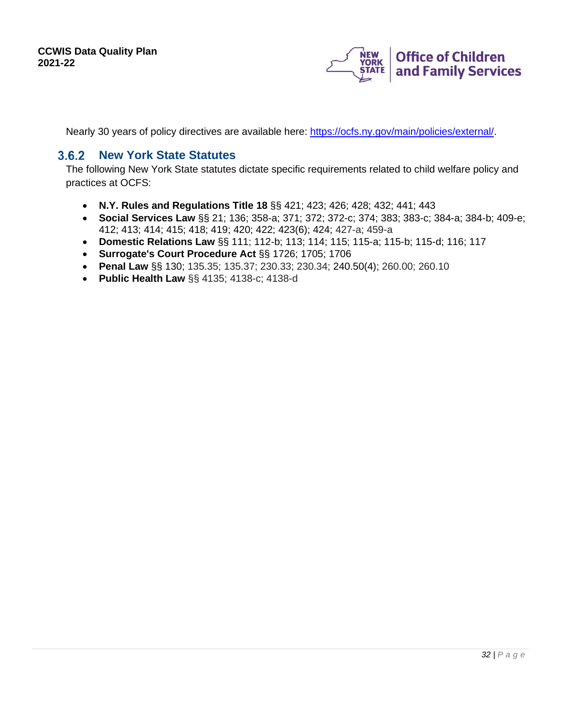

Nearly 30 years of policy directives are available here: [https://ocfs.ny.gov/main/policies/external/.](https://ocfs.ny.gov/main/policies/external/)

#### <span id="page-31-0"></span> $3.6.2$ **New York State Statutes**

The following New York State statutes dictate specific requirements related to child welfare policy and practices at OCFS:

- **N.Y. Rules and Regulations Title 18** §§ 421; 423; 426; 428; 432; 441; 443
- **Social Services Law** §§ 21; 136; 358-a; 371; 372; 372-c; 374; 383; 383-c; 384-a; 384-b; 409-e; 412; 413; 414; 415; 418; 419; 420; 422; 423(6); 424; 427-a; 459-a
- **Domestic Relations Law** §§ 111; 112-b; 113; 114; 115; 115-a; 115-b; 115-d; 116; 117
- **Surrogate's Court Procedure Act** §§ 1726; 1705; 1706
- **Penal Law** §§ 130; 135.35; 135.37; 230.33; 230.34; 240.50(4); 260.00; 260.10
- **Public Health Law** §§ 4135; 4138-c; 4138-d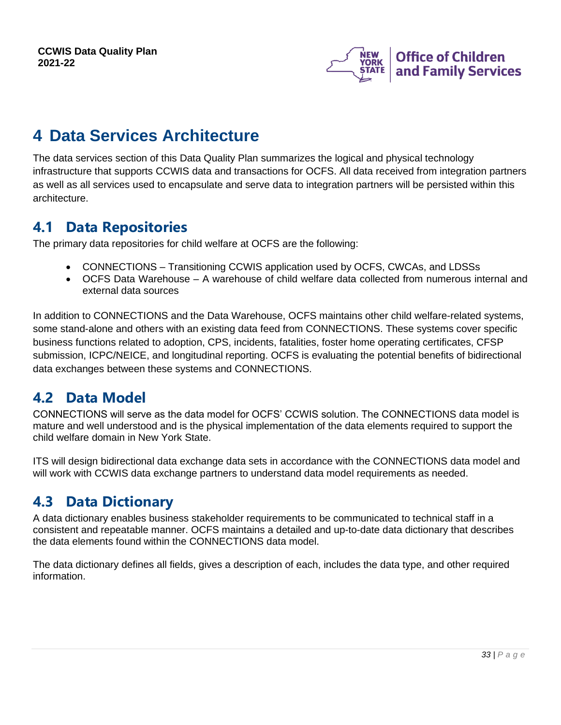

## <span id="page-32-0"></span>**4 Data Services Architecture**

The data services section of this Data Quality Plan summarizes the logical and physical technology infrastructure that supports CCWIS data and transactions for OCFS. All data received from integration partners as well as all services used to encapsulate and serve data to integration partners will be persisted within this architecture.

## <span id="page-32-1"></span>**4.1 Data Repositories**

The primary data repositories for child welfare at OCFS are the following:

- CONNECTIONS Transitioning CCWIS application used by OCFS, CWCAs, and LDSSs
- OCFS Data Warehouse A warehouse of child welfare data collected from numerous internal and external data sources

In addition to CONNECTIONS and the Data Warehouse, OCFS maintains other child welfare-related systems, some stand-alone and others with an existing data feed from CONNECTIONS. These systems cover specific business functions related to adoption, CPS, incidents, fatalities, foster home operating certificates, CFSP submission, ICPC/NEICE, and longitudinal reporting. OCFS is evaluating the potential benefits of bidirectional data exchanges between these systems and CONNECTIONS.

## <span id="page-32-2"></span>**4.2 Data Model**

CONNECTIONS will serve as the data model for OCFS' CCWIS solution. The CONNECTIONS data model is mature and well understood and is the physical implementation of the data elements required to support the child welfare domain in New York State.

ITS will design bidirectional data exchange data sets in accordance with the CONNECTIONS data model and will work with CCWIS data exchange partners to understand data model requirements as needed.

## <span id="page-32-3"></span>**4.3 Data Dictionary**

A data dictionary enables business stakeholder requirements to be communicated to technical staff in a consistent and repeatable manner. OCFS maintains a detailed and up-to-date data dictionary that describes the data elements found within the CONNECTIONS data model.

The data dictionary defines all fields, gives a description of each, includes the data type, and other required information.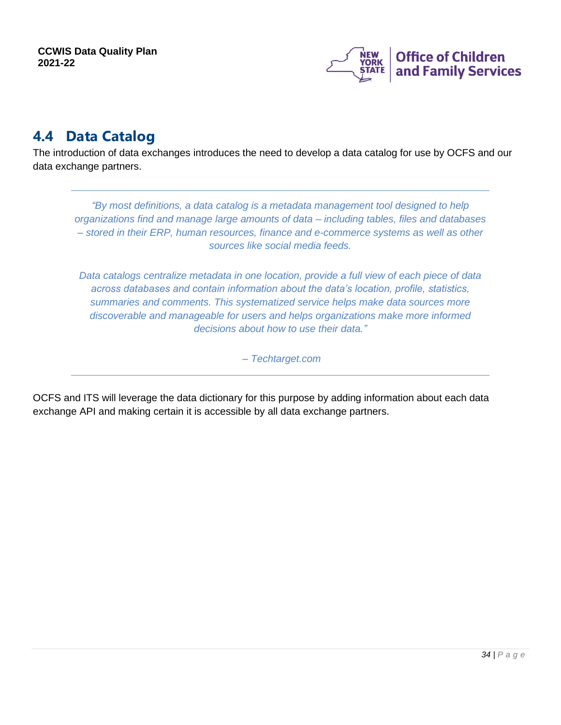

## <span id="page-33-0"></span>**4.4 Data Catalog**

The introduction of data exchanges introduces the need to develop a data catalog for use by OCFS and our data exchange partners.

*"By most definitions, a data catalog is a metadata management tool designed to help organizations find and manage large amounts of data – including tables, files and databases – stored in their ERP, human resources, finance and e-commerce systems as well as other sources like social media feeds.* 

*Data catalogs centralize metadata in one location, provide a full view of each piece of data across databases and contain information about the data's location, profile, statistics, summaries and comments. This systematized service helps make data sources more discoverable and manageable for users and helps organizations make more informed decisions about how to use their data."*

*– Techtarget.com*

OCFS and ITS will leverage the data dictionary for this purpose by adding information about each data exchange API and making certain it is accessible by all data exchange partners.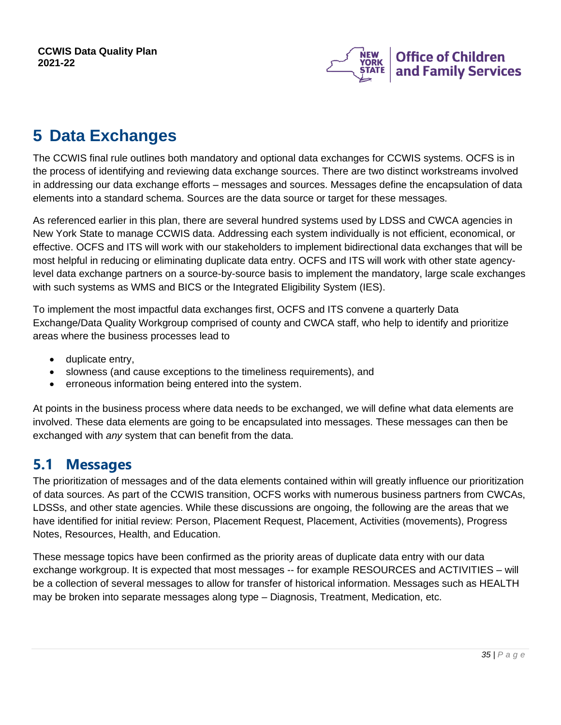

# <span id="page-34-0"></span>**5 Data Exchanges**

The CCWIS final rule outlines both mandatory and optional data exchanges for CCWIS systems. OCFS is in the process of identifying and reviewing data exchange sources. There are two distinct workstreams involved in addressing our data exchange efforts – messages and sources. Messages define the encapsulation of data elements into a standard schema. Sources are the data source or target for these messages.

As referenced earlier in this plan, there are several hundred systems used by LDSS and CWCA agencies in New York State to manage CCWIS data. Addressing each system individually is not efficient, economical, or effective. OCFS and ITS will work with our stakeholders to implement bidirectional data exchanges that will be most helpful in reducing or eliminating duplicate data entry. OCFS and ITS will work with other state agencylevel data exchange partners on a source-by-source basis to implement the mandatory, large scale exchanges with such systems as WMS and BICS or the Integrated Eligibility System (IES).

To implement the most impactful data exchanges first, OCFS and ITS convene a quarterly Data Exchange/Data Quality Workgroup comprised of county and CWCA staff, who help to identify and prioritize areas where the business processes lead to

- duplicate entry,
- slowness (and cause exceptions to the timeliness requirements), and
- erroneous information being entered into the system.

At points in the business process where data needs to be exchanged, we will define what data elements are involved. These data elements are going to be encapsulated into messages. These messages can then be exchanged with *any* system that can benefit from the data.

## <span id="page-34-1"></span>**5.1 Messages**

The prioritization of messages and of the data elements contained within will greatly influence our prioritization of data sources. As part of the CCWIS transition, OCFS works with numerous business partners from CWCAs, LDSSs, and other state agencies. While these discussions are ongoing, the following are the areas that we have identified for initial review: Person, Placement Request, Placement, Activities (movements), Progress Notes, Resources, Health, and Education.

These message topics have been confirmed as the priority areas of duplicate data entry with our data exchange workgroup. It is expected that most messages -- for example RESOURCES and ACTIVITIES – will be a collection of several messages to allow for transfer of historical information. Messages such as HEALTH may be broken into separate messages along type – Diagnosis, Treatment, Medication, etc.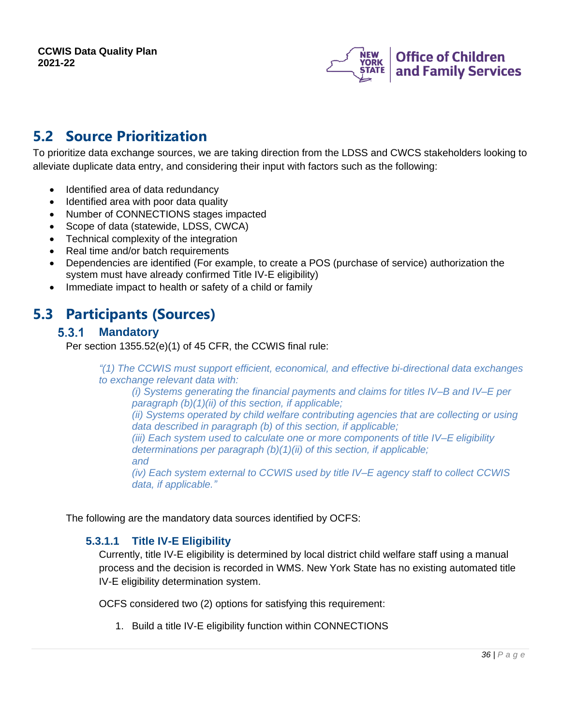

## <span id="page-35-0"></span>**5.2 Source Prioritization**

To prioritize data exchange sources, we are taking direction from the LDSS and CWCS stakeholders looking to alleviate duplicate data entry, and considering their input with factors such as the following:

- Identified area of data redundancy
- Identified area with poor data quality
- Number of CONNECTIONS stages impacted
- Scope of data (statewide, LDSS, CWCA)
- Technical complexity of the integration
- Real time and/or batch requirements
- Dependencies are identified (For example, to create a POS (purchase of service) authorization the system must have already confirmed Title IV-E eligibility)
- Immediate impact to health or safety of a child or family

## <span id="page-35-2"></span><span id="page-35-1"></span>**5.3 Participants (Sources)**

#### $5.3.1$ **Mandatory**

Per section 1355.52(e)(1) of 45 CFR, the CCWIS final rule:

*"(1) The CCWIS must support efficient, economical, and effective bi-directional data exchanges to exchange relevant data with:*

*(i) Systems generating the financial payments and claims for titles IV–B and IV–E per paragraph (b)(1)(ii) of this section, if applicable;*

*(ii) Systems operated by child welfare contributing agencies that are collecting or using data described in paragraph (b) of this section, if applicable;*

*(iii) Each system used to calculate one or more components of title IV–E eligibility determinations per paragraph (b)(1)(ii) of this section, if applicable; and*

*(iv) Each system external to CCWIS used by title IV–E agency staff to collect CCWIS data, if applicable."*

The following are the mandatory data sources identified by OCFS:

### **5.3.1.1 Title IV-E Eligibility**

Currently, title IV-E eligibility is determined by local district child welfare staff using a manual process and the decision is recorded in WMS. New York State has no existing automated title IV-E eligibility determination system.

OCFS considered two (2) options for satisfying this requirement:

1. Build a title IV-E eligibility function within CONNECTIONS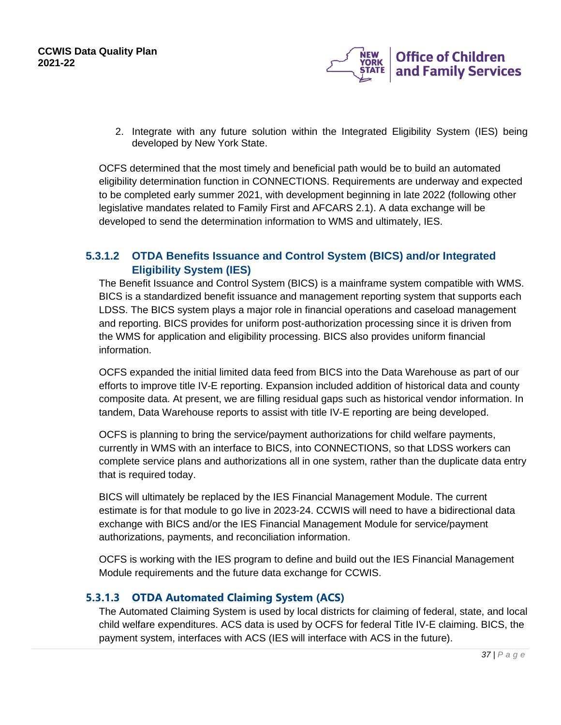

2. Integrate with any future solution within the Integrated Eligibility System (IES) being developed by New York State.

OCFS determined that the most timely and beneficial path would be to build an automated eligibility determination function in CONNECTIONS. Requirements are underway and expected to be completed early summer 2021, with development beginning in late 2022 (following other legislative mandates related to Family First and AFCARS 2.1). A data exchange will be developed to send the determination information to WMS and ultimately, IES.

### **5.3.1.2 OTDA Benefits Issuance and Control System (BICS) and/or Integrated Eligibility System (IES)**

The Benefit Issuance and Control System (BICS) is a mainframe system compatible with WMS. BICS is a standardized benefit issuance and management reporting system that supports each LDSS. The BICS system plays a major role in financial operations and caseload management and reporting. BICS provides for uniform post-authorization processing since it is driven from the WMS for application and eligibility processing. BICS also provides uniform financial information.

OCFS expanded the initial limited data feed from BICS into the Data Warehouse as part of our efforts to improve title IV-E reporting. Expansion included addition of historical data and county composite data. At present, we are filling residual gaps such as historical vendor information. In tandem, Data Warehouse reports to assist with title IV-E reporting are being developed.

OCFS is planning to bring the service/payment authorizations for child welfare payments, currently in WMS with an interface to BICS, into CONNECTIONS, so that LDSS workers can complete service plans and authorizations all in one system, rather than the duplicate data entry that is required today.

BICS will ultimately be replaced by the IES Financial Management Module. The current estimate is for that module to go live in 2023-24. CCWIS will need to have a bidirectional data exchange with BICS and/or the IES Financial Management Module for service/payment authorizations, payments, and reconciliation information.

OCFS is working with the IES program to define and build out the IES Financial Management Module requirements and the future data exchange for CCWIS.

### **5.3.1.3 OTDA Automated Claiming System (ACS)**

The Automated Claiming System is used by local districts for claiming of federal, state, and local child welfare expenditures. ACS data is used by OCFS for federal Title IV-E claiming. BICS, the payment system, interfaces with ACS (IES will interface with ACS in the future).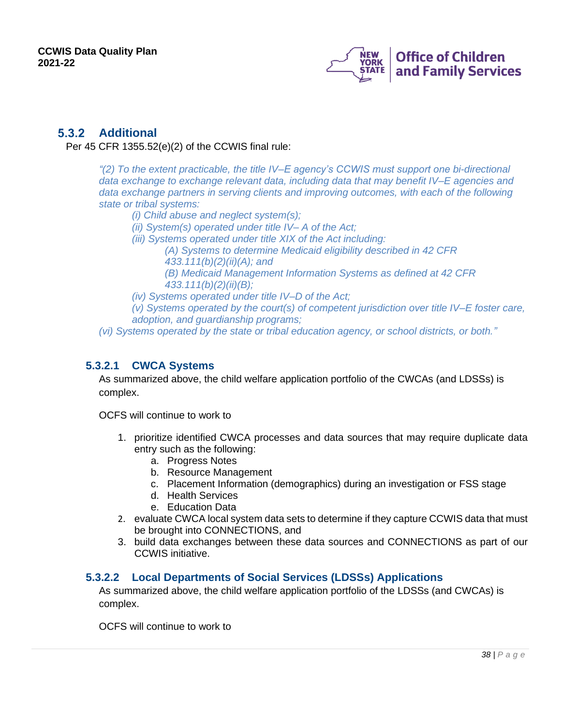

### <span id="page-37-0"></span>**5.3.2 Additional**

Per 45 CFR 1355.52(e)(2) of the CCWIS final rule:

*"(2) To the extent practicable, the title IV–E agency's CCWIS must support one bi-directional data exchange to exchange relevant data, including data that may benefit IV–E agencies and data exchange partners in serving clients and improving outcomes, with each of the following state or tribal systems:*

*(i) Child abuse and neglect system(s);*

- *(ii) System(s) operated under title IV– A of the Act;*
- *(iii) Systems operated under title XIX of the Act including:*

*(A) Systems to determine Medicaid eligibility described in 42 CFR 433.111(b)(2)(ii)(A); and (B) Medicaid Management Information Systems as defined at 42 CFR* 

*433.111(b)(2)(ii)(B);*

*(iv) Systems operated under title IV–D of the Act;*

*(v) Systems operated by the court(s) of competent jurisdiction over title IV–E foster care, adoption, and guardianship programs;*

*(vi) Systems operated by the state or tribal education agency, or school districts, or both."*

### **5.3.2.1 CWCA Systems**

As summarized above, the child welfare application portfolio of the CWCAs (and LDSSs) is complex.

OCFS will continue to work to

- 1. prioritize identified CWCA processes and data sources that may require duplicate data entry such as the following:
	- a. Progress Notes
	- b. Resource Management
	- c. Placement Information (demographics) during an investigation or FSS stage
	- d. Health Services
	- e. Education Data
- 2. evaluate CWCA local system data sets to determine if they capture CCWIS data that must be brought into CONNECTIONS, and
- 3. build data exchanges between these data sources and CONNECTIONS as part of our CCWIS initiative.

### **5.3.2.2 Local Departments of Social Services (LDSSs) Applications**

As summarized above, the child welfare application portfolio of the LDSSs (and CWCAs) is complex.

OCFS will continue to work to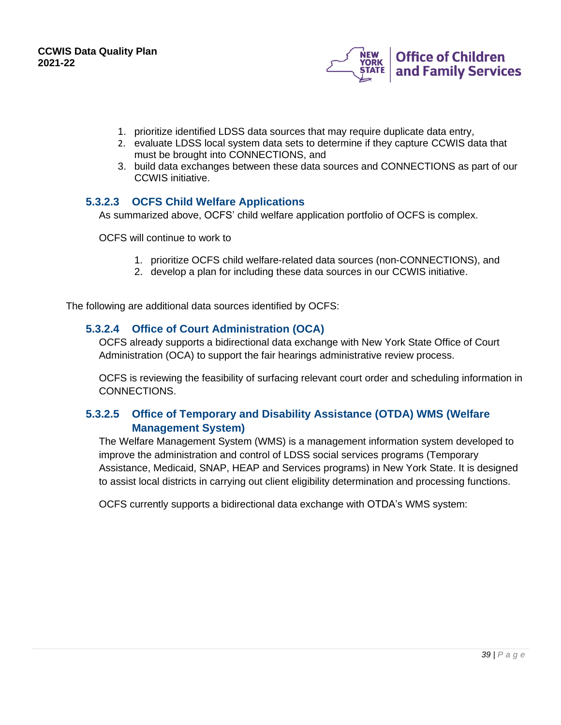

- 1. prioritize identified LDSS data sources that may require duplicate data entry,
- 2. evaluate LDSS local system data sets to determine if they capture CCWIS data that must be brought into CONNECTIONS, and
- 3. build data exchanges between these data sources and CONNECTIONS as part of our CCWIS initiative.

### **5.3.2.3 OCFS Child Welfare Applications**

As summarized above, OCFS' child welfare application portfolio of OCFS is complex.

OCFS will continue to work to

- 1. prioritize OCFS child welfare-related data sources (non-CONNECTIONS), and
- 2. develop a plan for including these data sources in our CCWIS initiative.

The following are additional data sources identified by OCFS:

#### **5.3.2.4 Office of Court Administration (OCA)**

OCFS already supports a bidirectional data exchange with New York State Office of Court Administration (OCA) to support the fair hearings administrative review process.

OCFS is reviewing the feasibility of surfacing relevant court order and scheduling information in CONNECTIONS.

### **5.3.2.5 Office of Temporary and Disability Assistance (OTDA) WMS (Welfare Management System)**

The Welfare Management System (WMS) is a management information system developed to improve the administration and control of LDSS social services programs (Temporary Assistance, Medicaid, SNAP, HEAP and Services programs) in New York State. It is designed to assist local districts in carrying out client eligibility determination and processing functions.

OCFS currently supports a bidirectional data exchange with OTDA's WMS system: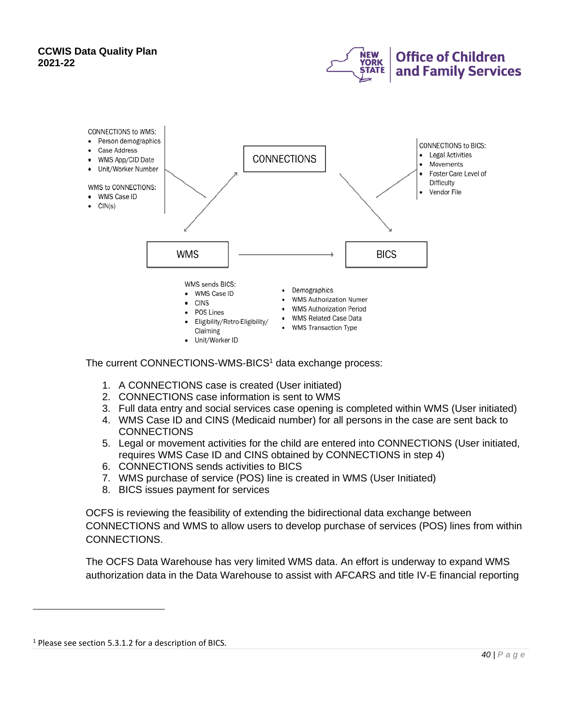



The current CONNECTIONS-WMS-BICS<sup>1</sup> data exchange process:

- 1. A CONNECTIONS case is created (User initiated)
- 2. CONNECTIONS case information is sent to WMS
- 3. Full data entry and social services case opening is completed within WMS (User initiated)
- 4. WMS Case ID and CINS (Medicaid number) for all persons in the case are sent back to **CONNECTIONS**
- 5. Legal or movement activities for the child are entered into CONNECTIONS (User initiated, requires WMS Case ID and CINS obtained by CONNECTIONS in step 4)
- 6. CONNECTIONS sends activities to BICS
- 7. WMS purchase of service (POS) line is created in WMS (User Initiated)
- 8. BICS issues payment for services

OCFS is reviewing the feasibility of extending the bidirectional data exchange between CONNECTIONS and WMS to allow users to develop purchase of services (POS) lines from within CONNECTIONS.

The OCFS Data Warehouse has very limited WMS data. An effort is underway to expand WMS authorization data in the Data Warehouse to assist with AFCARS and title IV-E financial reporting

<sup>&</sup>lt;sup>1</sup> Please see section 5.3.1.2 for a description of BICS.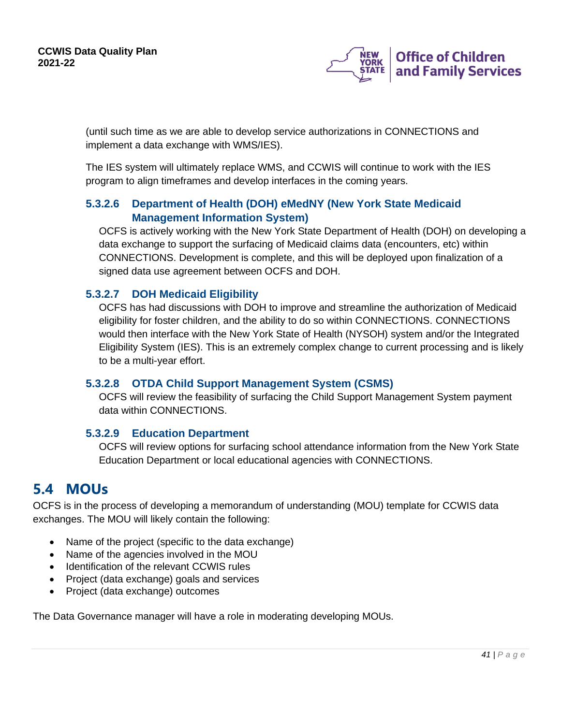

(until such time as we are able to develop service authorizations in CONNECTIONS and implement a data exchange with WMS/IES).

The IES system will ultimately replace WMS, and CCWIS will continue to work with the IES program to align timeframes and develop interfaces in the coming years.

### **5.3.2.6 Department of Health (DOH) eMedNY (New York State Medicaid Management Information System)**

OCFS is actively working with the New York State Department of Health (DOH) on developing a data exchange to support the surfacing of Medicaid claims data (encounters, etc) within CONNECTIONS. Development is complete, and this will be deployed upon finalization of a signed data use agreement between OCFS and DOH.

### **5.3.2.7 DOH Medicaid Eligibility**

OCFS has had discussions with DOH to improve and streamline the authorization of Medicaid eligibility for foster children, and the ability to do so within CONNECTIONS. CONNECTIONS would then interface with the New York State of Health (NYSOH) system and/or the Integrated Eligibility System (IES). This is an extremely complex change to current processing and is likely to be a multi-year effort.

### **5.3.2.8 OTDA Child Support Management System (CSMS)**

OCFS will review the feasibility of surfacing the Child Support Management System payment data within CONNECTIONS.

### **5.3.2.9 Education Department**

OCFS will review options for surfacing school attendance information from the New York State Education Department or local educational agencies with CONNECTIONS.

## <span id="page-40-0"></span>**5.4 MOUs**

OCFS is in the process of developing a memorandum of understanding (MOU) template for CCWIS data exchanges. The MOU will likely contain the following:

- Name of the project (specific to the data exchange)
- Name of the agencies involved in the MOU
- Identification of the relevant CCWIS rules
- Project (data exchange) goals and services
- Project (data exchange) outcomes

The Data Governance manager will have a role in moderating developing MOUs.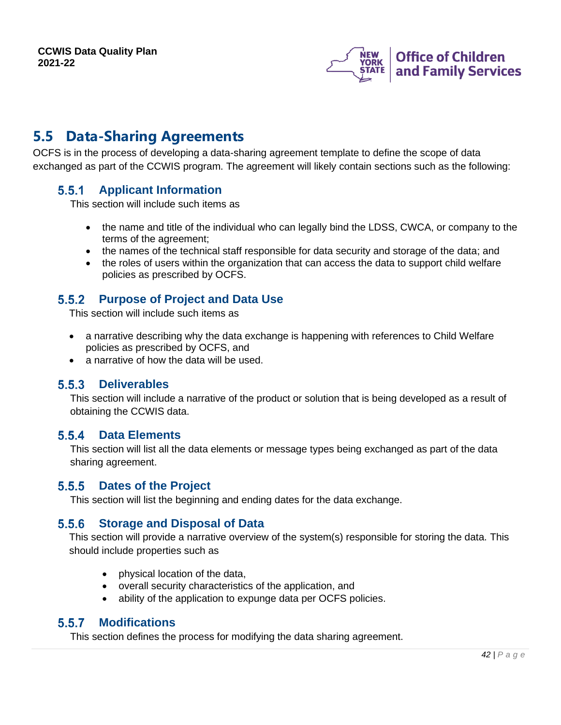

## <span id="page-41-0"></span>**5.5 Data-Sharing Agreements**

OCFS is in the process of developing a data-sharing agreement template to define the scope of data exchanged as part of the CCWIS program. The agreement will likely contain sections such as the following:

#### <span id="page-41-1"></span> $5.5.1$ **Applicant Information**

This section will include such items as

- the name and title of the individual who can legally bind the LDSS, CWCA, or company to the terms of the agreement;
- the names of the technical staff responsible for data security and storage of the data; and
- the roles of users within the organization that can access the data to support child welfare policies as prescribed by OCFS.

#### <span id="page-41-2"></span> $5.5.2$ **Purpose of Project and Data Use**

This section will include such items as

- a narrative describing why the data exchange is happening with references to Child Welfare policies as prescribed by OCFS, and
- a narrative of how the data will be used.

#### <span id="page-41-3"></span> $5.5.3$ **Deliverables**

This section will include a narrative of the product or solution that is being developed as a result of obtaining the CCWIS data.

### <span id="page-41-4"></span>**Data Elements**

This section will list all the data elements or message types being exchanged as part of the data sharing agreement.

#### <span id="page-41-5"></span> $5.5.5$ **Dates of the Project**

This section will list the beginning and ending dates for the data exchange.

#### <span id="page-41-6"></span> $5.5.6$ **Storage and Disposal of Data**

This section will provide a narrative overview of the system(s) responsible for storing the data. This should include properties such as

- physical location of the data,
- overall security characteristics of the application, and
- ability of the application to expunge data per OCFS policies.

#### <span id="page-41-7"></span> $5.5.7$ **Modifications**

This section defines the process for modifying the data sharing agreement.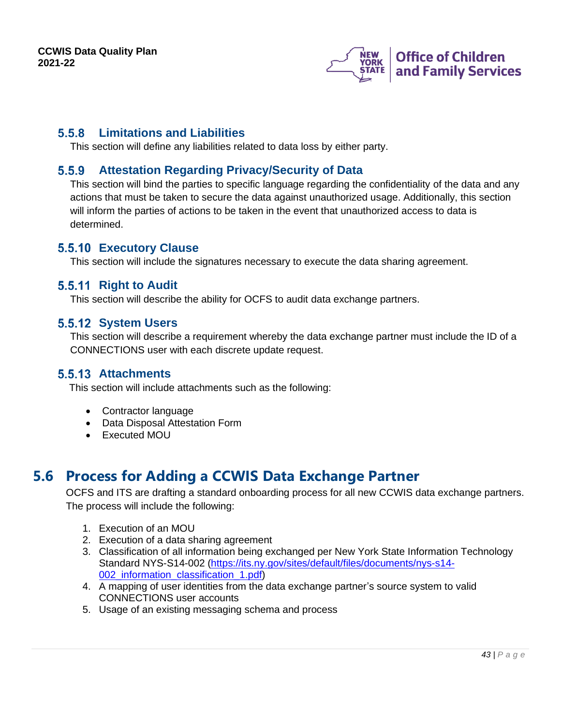

### <span id="page-42-0"></span>**Limitations and Liabilities**

This section will define any liabilities related to data loss by either party.

### <span id="page-42-1"></span>**Attestation Regarding Privacy/Security of Data**

This section will bind the parties to specific language regarding the confidentiality of the data and any actions that must be taken to secure the data against unauthorized usage. Additionally, this section will inform the parties of actions to be taken in the event that unauthorized access to data is determined.

### <span id="page-42-2"></span>**Executory Clause**

This section will include the signatures necessary to execute the data sharing agreement.

### <span id="page-42-3"></span>**5.5.11 Right to Audit**

This section will describe the ability for OCFS to audit data exchange partners.

### <span id="page-42-4"></span>**5.5.12 System Users**

This section will describe a requirement whereby the data exchange partner must include the ID of a CONNECTIONS user with each discrete update request.

### <span id="page-42-5"></span>**5.5.13 Attachments**

This section will include attachments such as the following:

- Contractor language
- Data Disposal Attestation Form
- Executed MOU

## <span id="page-42-6"></span>**5.6 Process for Adding a CCWIS Data Exchange Partner**

OCFS and ITS are drafting a standard onboarding process for all new CCWIS data exchange partners. The process will include the following:

- 1. Execution of an MOU
- 2. Execution of a data sharing agreement
- 3. Classification of all information being exchanged per New York State Information Technology Standard NYS-S14-002 [\(https://its.ny.gov/sites/default/files/documents/nys-s14-](https://its.ny.gov/sites/default/files/documents/nys-s14-002_information_classification_1.pdf) 002 information classification 1.pdf)
- 4. A mapping of user identities from the data exchange partner's source system to valid CONNECTIONS user accounts
- 5. Usage of an existing messaging schema and process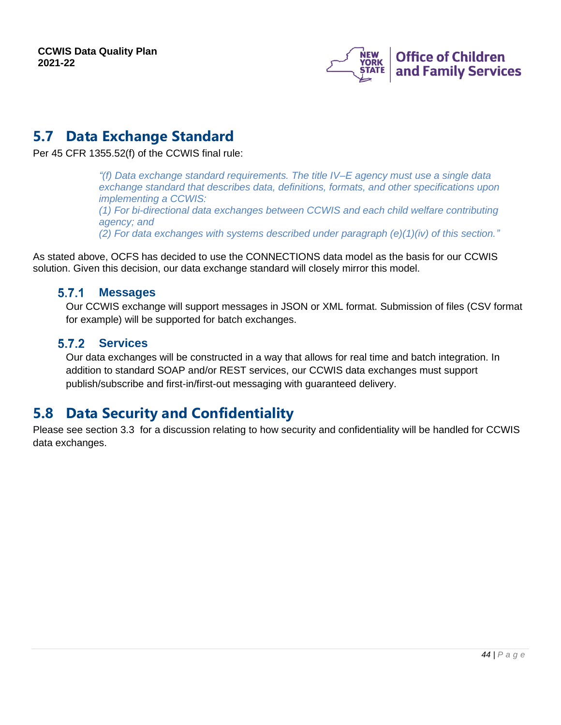

## <span id="page-43-0"></span>**5.7 Data Exchange Standard**

Per 45 CFR 1355.52(f) of the CCWIS final rule:

*"(f) Data exchange standard requirements. The title IV–E agency must use a single data exchange standard that describes data, definitions, formats, and other specifications upon implementing a CCWIS: (1) For bi-directional data exchanges between CCWIS and each child welfare contributing agency; and (2) For data exchanges with systems described under paragraph (e)(1)(iv) of this section."*

As stated above, OCFS has decided to use the CONNECTIONS data model as the basis for our CCWIS solution. Given this decision, our data exchange standard will closely mirror this model.

#### <span id="page-43-1"></span> $5.7.1$ **Messages**

Our CCWIS exchange will support messages in JSON or XML format. Submission of files (CSV format for example) will be supported for batch exchanges.

#### <span id="page-43-2"></span> $5.7.2$ **Services**

Our data exchanges will be constructed in a way that allows for real time and batch integration. In addition to standard SOAP and/or REST services, our CCWIS data exchanges must support publish/subscribe and first-in/first-out messaging with guaranteed delivery.

## <span id="page-43-3"></span>**5.8 Data Security and Confidentiality**

Please see section [3.3](#page-25-1) for a discussion relating to how security and confidentiality will be handled for CCWIS data exchanges.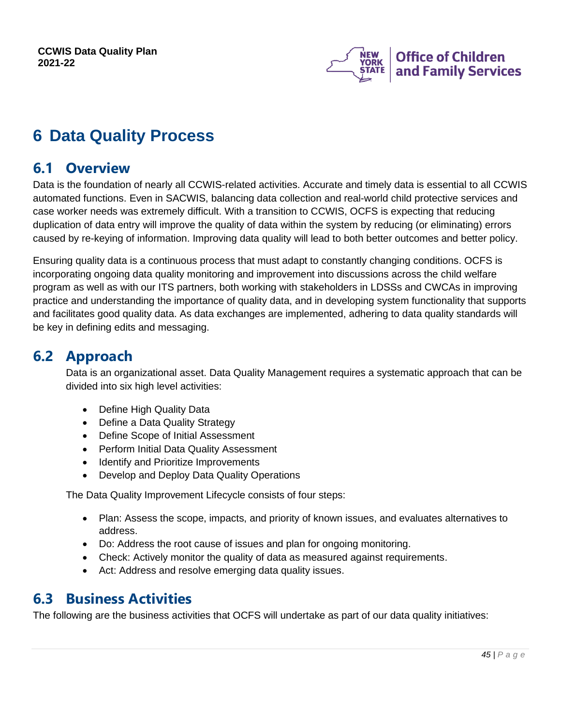

# <span id="page-44-0"></span>**6 Data Quality Process**

## <span id="page-44-1"></span>**6.1 Overview**

Data is the foundation of nearly all CCWIS-related activities. Accurate and timely data is essential to all CCWIS automated functions. Even in SACWIS, balancing data collection and real-world child protective services and case worker needs was extremely difficult. With a transition to CCWIS, OCFS is expecting that reducing duplication of data entry will improve the quality of data within the system by reducing (or eliminating) errors caused by re-keying of information. Improving data quality will lead to both better outcomes and better policy.

Ensuring quality data is a continuous process that must adapt to constantly changing conditions. OCFS is incorporating ongoing data quality monitoring and improvement into discussions across the child welfare program as well as with our ITS partners, both working with stakeholders in LDSSs and CWCAs in improving practice and understanding the importance of quality data, and in developing system functionality that supports and facilitates good quality data. As data exchanges are implemented, adhering to data quality standards will be key in defining edits and messaging.

## <span id="page-44-2"></span>**6.2 Approach**

Data is an organizational asset. Data Quality Management requires a systematic approach that can be divided into six high level activities:

- Define High Quality Data
- Define a Data Quality Strategy
- Define Scope of Initial Assessment
- Perform Initial Data Quality Assessment
- Identify and Prioritize Improvements
- Develop and Deploy Data Quality Operations

The Data Quality Improvement Lifecycle consists of four steps:

- Plan: Assess the scope, impacts, and priority of known issues, and evaluates alternatives to address.
- Do: Address the root cause of issues and plan for ongoing monitoring.
- Check: Actively monitor the quality of data as measured against requirements.
- Act: Address and resolve emerging data quality issues.

## <span id="page-44-3"></span>**6.3 Business Activities**

The following are the business activities that OCFS will undertake as part of our data quality initiatives: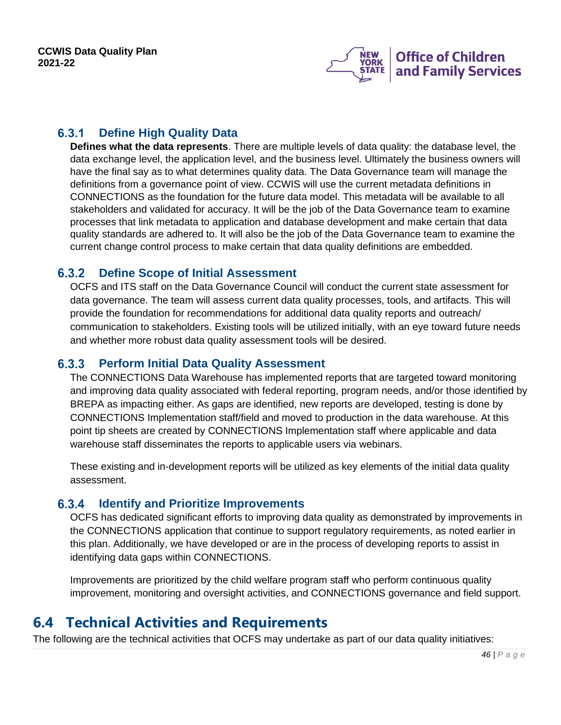

#### <span id="page-45-0"></span> $6.3.1$ **Define High Quality Data**

**Defines what the data represents**. There are multiple levels of data quality: the database level, the data exchange level, the application level, and the business level. Ultimately the business owners will have the final say as to what determines quality data. The Data Governance team will manage the definitions from a governance point of view. CCWIS will use the current metadata definitions in CONNECTIONS as the foundation for the future data model. This metadata will be available to all stakeholders and validated for accuracy. It will be the job of the Data Governance team to examine processes that link metadata to application and database development and make certain that data quality standards are adhered to. It will also be the job of the Data Governance team to examine the current change control process to make certain that data quality definitions are embedded.

#### <span id="page-45-1"></span> $6.3.2$ **Define Scope of Initial Assessment**

OCFS and ITS staff on the Data Governance Council will conduct the current state assessment for data governance. The team will assess current data quality processes, tools, and artifacts. This will provide the foundation for recommendations for additional data quality reports and outreach/ communication to stakeholders. Existing tools will be utilized initially, with an eye toward future needs and whether more robust data quality assessment tools will be desired.

#### <span id="page-45-2"></span> $6.3.3$ **Perform Initial Data Quality Assessment**

The CONNECTIONS Data Warehouse has implemented reports that are targeted toward monitoring and improving data quality associated with federal reporting, program needs, and/or those identified by BREPA as impacting either. As gaps are identified, new reports are developed, testing is done by CONNECTIONS Implementation staff/field and moved to production in the data warehouse. At this point tip sheets are created by CONNECTIONS Implementation staff where applicable and data warehouse staff disseminates the reports to applicable users via webinars.

These existing and in-development reports will be utilized as key elements of the initial data quality assessment.

#### <span id="page-45-3"></span> $6.3.4$ **Identify and Prioritize Improvements**

OCFS has dedicated significant efforts to improving data quality as demonstrated by improvements in the CONNECTIONS application that continue to support regulatory requirements, as noted earlier in this plan. Additionally, we have developed or are in the process of developing reports to assist in identifying data gaps within CONNECTIONS.

Improvements are prioritized by the child welfare program staff who perform continuous quality improvement, monitoring and oversight activities, and CONNECTIONS governance and field support.

## <span id="page-45-4"></span>**6.4 Technical Activities and Requirements**

The following are the technical activities that OCFS may undertake as part of our data quality initiatives: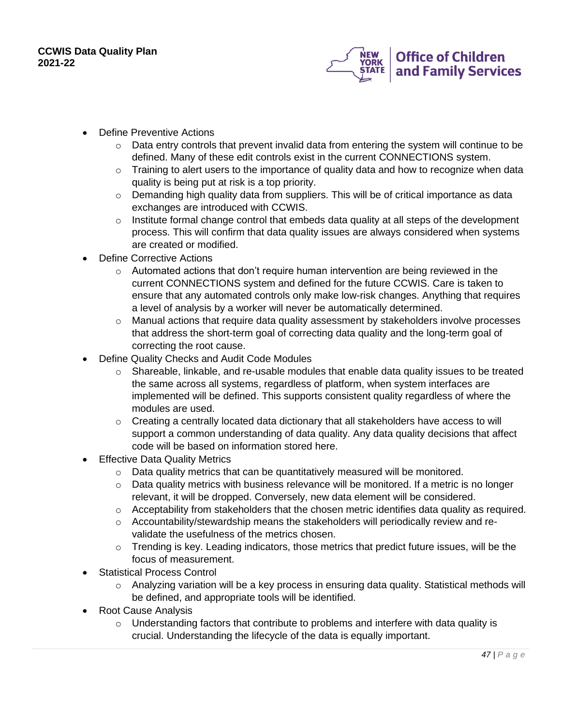

- Define Preventive Actions
	- $\circ$  Data entry controls that prevent invalid data from entering the system will continue to be defined. Many of these edit controls exist in the current CONNECTIONS system.
	- $\circ$  Training to alert users to the importance of quality data and how to recognize when data quality is being put at risk is a top priority.
	- $\circ$  Demanding high quality data from suppliers. This will be of critical importance as data exchanges are introduced with CCWIS.
	- $\circ$  Institute formal change control that embeds data quality at all steps of the development process. This will confirm that data quality issues are always considered when systems are created or modified.
- Define Corrective Actions
	- $\circ$  Automated actions that don't require human intervention are being reviewed in the current CONNECTIONS system and defined for the future CCWIS. Care is taken to ensure that any automated controls only make low-risk changes. Anything that requires a level of analysis by a worker will never be automatically determined.
	- $\circ$  Manual actions that require data quality assessment by stakeholders involve processes that address the short-term goal of correcting data quality and the long-term goal of correcting the root cause.
- Define Quality Checks and Audit Code Modules
	- $\circ$  Shareable, linkable, and re-usable modules that enable data quality issues to be treated the same across all systems, regardless of platform, when system interfaces are implemented will be defined. This supports consistent quality regardless of where the modules are used.
	- $\circ$  Creating a centrally located data dictionary that all stakeholders have access to will support a common understanding of data quality. Any data quality decisions that affect code will be based on information stored here.
- **Effective Data Quality Metrics** 
	- $\circ$  Data quality metrics that can be quantitatively measured will be monitored.
	- o Data quality metrics with business relevance will be monitored. If a metric is no longer relevant, it will be dropped. Conversely, new data element will be considered.
	- o Acceptability from stakeholders that the chosen metric identifies data quality as required.
	- $\circ$  Accountability/stewardship means the stakeholders will periodically review and revalidate the usefulness of the metrics chosen.
	- $\circ$  Trending is key. Leading indicators, those metrics that predict future issues, will be the focus of measurement.
- Statistical Process Control
	- $\circ$  Analyzing variation will be a key process in ensuring data quality. Statistical methods will be defined, and appropriate tools will be identified.
- Root Cause Analysis
	- $\circ$  Understanding factors that contribute to problems and interfere with data quality is crucial. Understanding the lifecycle of the data is equally important.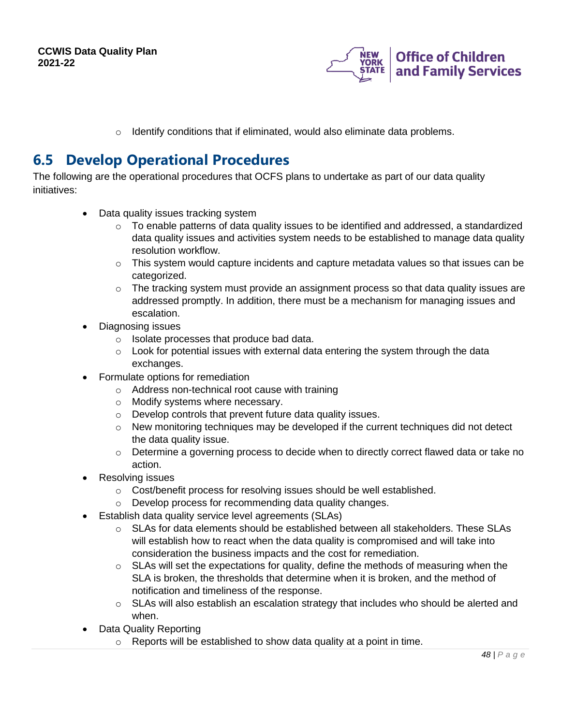

o Identify conditions that if eliminated, would also eliminate data problems.

## <span id="page-47-0"></span>**6.5 Develop Operational Procedures**

The following are the operational procedures that OCFS plans to undertake as part of our data quality initiatives:

- Data quality issues tracking system
	- o To enable patterns of data quality issues to be identified and addressed, a standardized data quality issues and activities system needs to be established to manage data quality resolution workflow.
	- $\circ$  This system would capture incidents and capture metadata values so that issues can be categorized.
	- $\circ$  The tracking system must provide an assignment process so that data quality issues are addressed promptly. In addition, there must be a mechanism for managing issues and escalation.
- Diagnosing issues
	- o Isolate processes that produce bad data.
	- $\circ$  Look for potential issues with external data entering the system through the data exchanges.
- Formulate options for remediation
	- o Address non-technical root cause with training
	- o Modify systems where necessary.
	- o Develop controls that prevent future data quality issues.
	- $\circ$  New monitoring techniques may be developed if the current techniques did not detect the data quality issue.
	- $\circ$  Determine a governing process to decide when to directly correct flawed data or take no action.
- Resolving issues
	- o Cost/benefit process for resolving issues should be well established.
	- o Develop process for recommending data quality changes.
- Establish data quality service level agreements (SLAs)
	- $\circ$  SLAs for data elements should be established between all stakeholders. These SLAs will establish how to react when the data quality is compromised and will take into consideration the business impacts and the cost for remediation.
	- $\circ$  SLAs will set the expectations for quality, define the methods of measuring when the SLA is broken, the thresholds that determine when it is broken, and the method of notification and timeliness of the response.
	- o SLAs will also establish an escalation strategy that includes who should be alerted and when.
	- Data Quality Reporting
		- $\circ$  Reports will be established to show data quality at a point in time.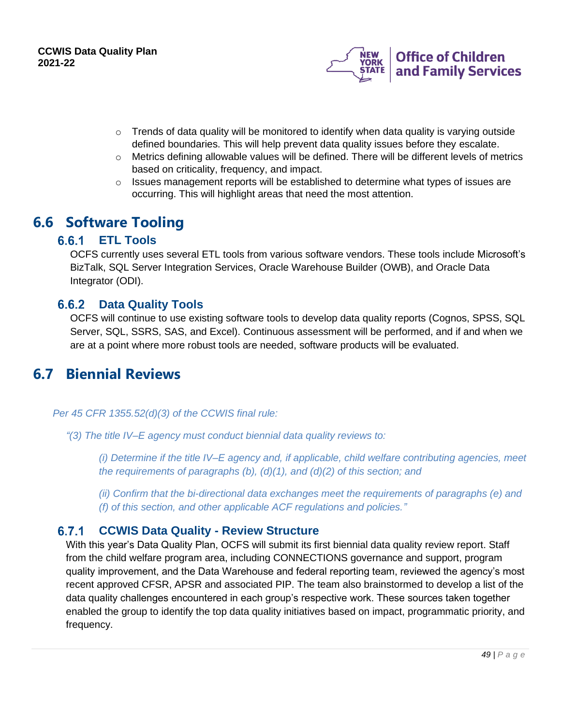

- $\circ$  Trends of data quality will be monitored to identify when data quality is varying outside defined boundaries. This will help prevent data quality issues before they escalate.
- $\circ$  Metrics defining allowable values will be defined. There will be different levels of metrics based on criticality, frequency, and impact.
- $\circ$  Issues management reports will be established to determine what types of issues are occurring. This will highlight areas that need the most attention.

## <span id="page-48-1"></span><span id="page-48-0"></span>**6.6 Software Tooling**

#### $6.6.1$ **ETL Tools**

OCFS currently uses several ETL tools from various software vendors. These tools include Microsoft's BizTalk, SQL Server Integration Services, Oracle Warehouse Builder (OWB), and Oracle Data Integrator (ODI).

#### <span id="page-48-2"></span>**Data Quality Tools**  $6.6.2$

OCFS will continue to use existing software tools to develop data quality reports (Cognos, SPSS, SQL Server, SQL, SSRS, SAS, and Excel). Continuous assessment will be performed, and if and when we are at a point where more robust tools are needed, software products will be evaluated.

## <span id="page-48-3"></span>**6.7 Biennial Reviews**

*Per 45 CFR 1355.52(d)(3) of the CCWIS final rule:*

*"(3) The title IV–E agency must conduct biennial data quality reviews to:*

*(i) Determine if the title IV–E agency and, if applicable, child welfare contributing agencies, meet the requirements of paragraphs (b), (d)(1), and (d)(2) of this section; and*

*(ii) Confirm that the bi-directional data exchanges meet the requirements of paragraphs (e) and (f) of this section, and other applicable ACF regulations and policies."*

#### <span id="page-48-4"></span> $6.7.1$ **CCWIS Data Quality - Review Structure**

With this year's Data Quality Plan, OCFS will submit its first biennial data quality review report. Staff from the child welfare program area, including CONNECTIONS governance and support, program quality improvement, and the Data Warehouse and federal reporting team, reviewed the agency's most recent approved CFSR, APSR and associated PIP. The team also brainstormed to develop a list of the data quality challenges encountered in each group's respective work. These sources taken together enabled the group to identify the top data quality initiatives based on impact, programmatic priority, and frequency.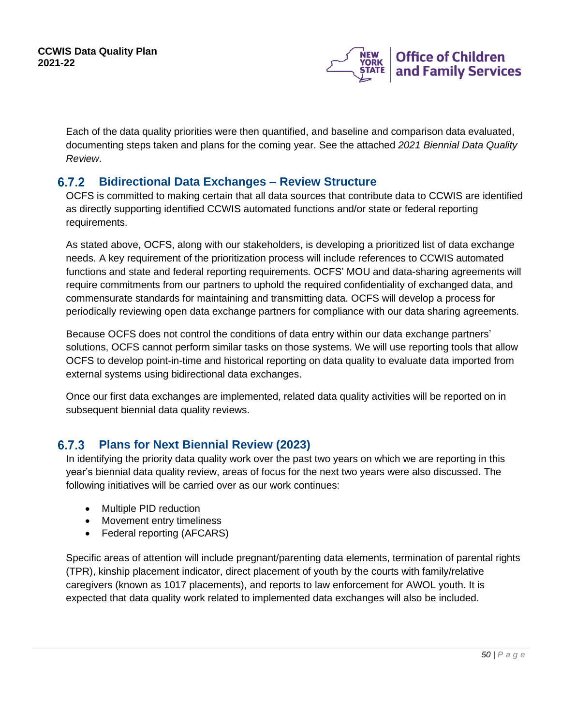

Each of the data quality priorities were then quantified, and baseline and comparison data evaluated, documenting steps taken and plans for the coming year. See the attached *2021 Biennial Data Quality Review*.

#### <span id="page-49-0"></span> $6.7.2$ **Bidirectional Data Exchanges – Review Structure**

OCFS is committed to making certain that all data sources that contribute data to CCWIS are identified as directly supporting identified CCWIS automated functions and/or state or federal reporting requirements.

As stated above, OCFS, along with our stakeholders, is developing a prioritized list of data exchange needs. A key requirement of the prioritization process will include references to CCWIS automated functions and state and federal reporting requirements. OCFS' MOU and data-sharing agreements will require commitments from our partners to uphold the required confidentiality of exchanged data, and commensurate standards for maintaining and transmitting data. OCFS will develop a process for periodically reviewing open data exchange partners for compliance with our data sharing agreements.

Because OCFS does not control the conditions of data entry within our data exchange partners' solutions, OCFS cannot perform similar tasks on those systems. We will use reporting tools that allow OCFS to develop point-in-time and historical reporting on data quality to evaluate data imported from external systems using bidirectional data exchanges.

Once our first data exchanges are implemented, related data quality activities will be reported on in subsequent biennial data quality reviews.

#### <span id="page-49-1"></span> $6.7.3$ **Plans for Next Biennial Review (2023)**

In identifying the priority data quality work over the past two years on which we are reporting in this year's biennial data quality review, areas of focus for the next two years were also discussed. The following initiatives will be carried over as our work continues:

- Multiple PID reduction
- Movement entry timeliness
- Federal reporting (AFCARS)

Specific areas of attention will include pregnant/parenting data elements, termination of parental rights (TPR), kinship placement indicator, direct placement of youth by the courts with family/relative caregivers (known as 1017 placements), and reports to law enforcement for AWOL youth. It is expected that data quality work related to implemented data exchanges will also be included.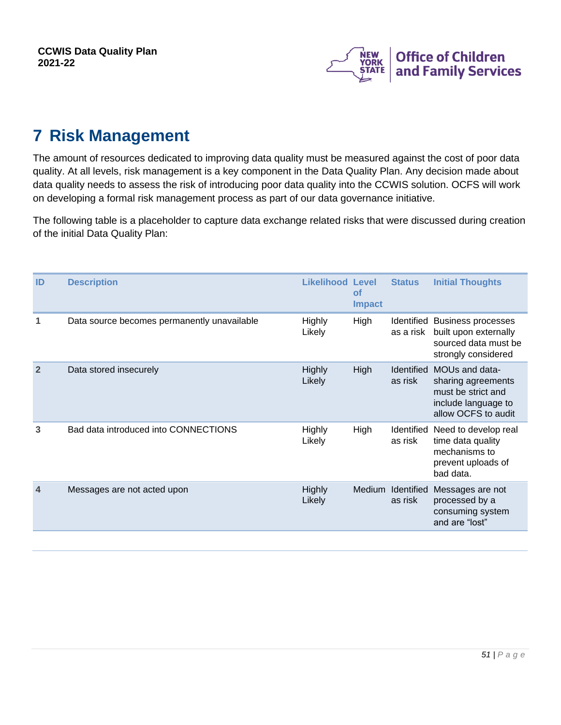

# <span id="page-50-0"></span>**7 Risk Management**

The amount of resources dedicated to improving data quality must be measured against the cost of poor data quality. At all levels, risk management is a key component in the Data Quality Plan. Any decision made about data quality needs to assess the risk of introducing poor data quality into the CCWIS solution. OCFS will work on developing a formal risk management process as part of our data governance initiative.

The following table is a placeholder to capture data exchange related risks that were discussed during creation of the initial Data Quality Plan:

| ID                         | <b>Description</b>                          | <b>Likelihood Level</b> | οf<br><b>Impact</b> | <b>Status</b>                | <b>Initial Thoughts</b>                                                                                  |
|----------------------------|---------------------------------------------|-------------------------|---------------------|------------------------------|----------------------------------------------------------------------------------------------------------|
|                            | Data source becomes permanently unavailable | Highly<br>Likely        | High                | as a risk                    | Identified Business processes<br>built upon externally<br>sourced data must be<br>strongly considered    |
| $\overline{2}$             | Data stored insecurely                      | <b>Highly</b><br>Likely | <b>High</b>         | <b>Identified</b><br>as risk | MOUs and data-<br>sharing agreements<br>must be strict and<br>include language to<br>allow OCFS to audit |
| 3                          | Bad data introduced into CONNECTIONS        | Highly<br>Likely        | High                | as risk                      | Identified Need to develop real<br>time data quality<br>mechanisms to<br>prevent uploads of<br>bad data. |
| $\boldsymbol{\mathcal{A}}$ | Messages are not acted upon                 | <b>Highly</b><br>Likely |                     | Medium Identified<br>as risk | Messages are not<br>processed by a<br>consuming system<br>and are "lost"                                 |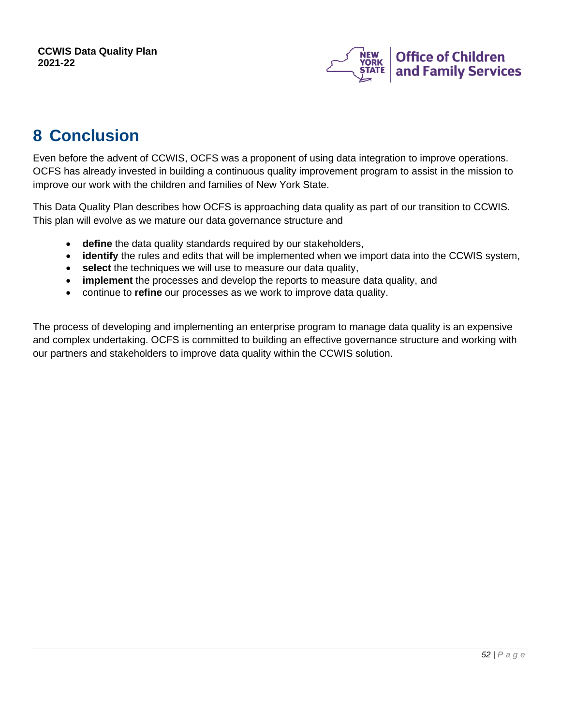

## <span id="page-51-0"></span>**8 Conclusion**

Even before the advent of CCWIS, OCFS was a proponent of using data integration to improve operations. OCFS has already invested in building a continuous quality improvement program to assist in the mission to improve our work with the children and families of New York State.

This Data Quality Plan describes how OCFS is approaching data quality as part of our transition to CCWIS. This plan will evolve as we mature our data governance structure and

- **define** the data quality standards required by our stakeholders,
- **identify** the rules and edits that will be implemented when we import data into the CCWIS system,
- **select** the techniques we will use to measure our data quality,
- **implement** the processes and develop the reports to measure data quality, and
- continue to **refine** our processes as we work to improve data quality.

The process of developing and implementing an enterprise program to manage data quality is an expensive and complex undertaking. OCFS is committed to building an effective governance structure and working with our partners and stakeholders to improve data quality within the CCWIS solution.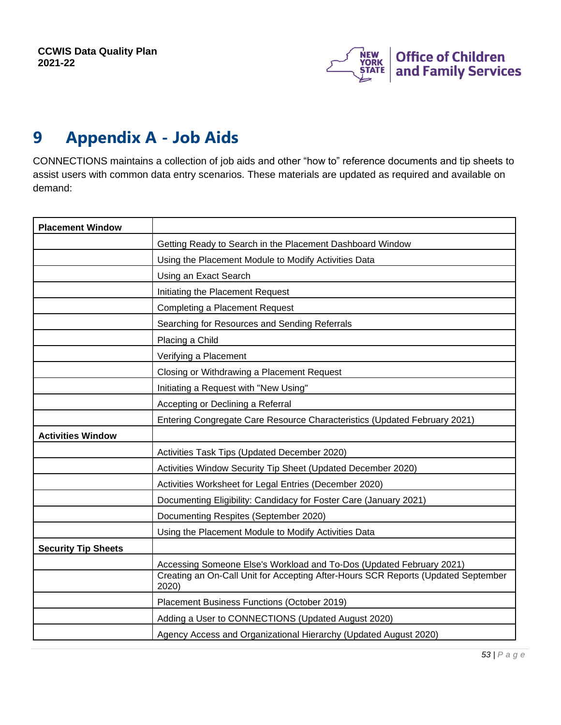

# <span id="page-52-0"></span>**9 Appendix A - Job Aids**

CONNECTIONS maintains a collection of job aids and other "how to" reference documents and tip sheets to assist users with common data entry scenarios. These materials are updated as required and available on demand:

| <b>Placement Window</b>    |                                                                                            |
|----------------------------|--------------------------------------------------------------------------------------------|
|                            | Getting Ready to Search in the Placement Dashboard Window                                  |
|                            | Using the Placement Module to Modify Activities Data                                       |
|                            | Using an Exact Search                                                                      |
|                            | Initiating the Placement Request                                                           |
|                            | <b>Completing a Placement Request</b>                                                      |
|                            | Searching for Resources and Sending Referrals                                              |
|                            | Placing a Child                                                                            |
|                            | Verifying a Placement                                                                      |
|                            | Closing or Withdrawing a Placement Request                                                 |
|                            | Initiating a Request with "New Using"                                                      |
|                            | Accepting or Declining a Referral                                                          |
|                            | Entering Congregate Care Resource Characteristics (Updated February 2021)                  |
| <b>Activities Window</b>   |                                                                                            |
|                            | Activities Task Tips (Updated December 2020)                                               |
|                            | Activities Window Security Tip Sheet (Updated December 2020)                               |
|                            | Activities Worksheet for Legal Entries (December 2020)                                     |
|                            | Documenting Eligibility: Candidacy for Foster Care (January 2021)                          |
|                            | Documenting Respites (September 2020)                                                      |
|                            | Using the Placement Module to Modify Activities Data                                       |
| <b>Security Tip Sheets</b> |                                                                                            |
|                            | Accessing Someone Else's Workload and To-Dos (Updated February 2021)                       |
|                            | Creating an On-Call Unit for Accepting After-Hours SCR Reports (Updated September<br>2020) |
|                            | Placement Business Functions (October 2019)                                                |
|                            | Adding a User to CONNECTIONS (Updated August 2020)                                         |
|                            | Agency Access and Organizational Hierarchy (Updated August 2020)                           |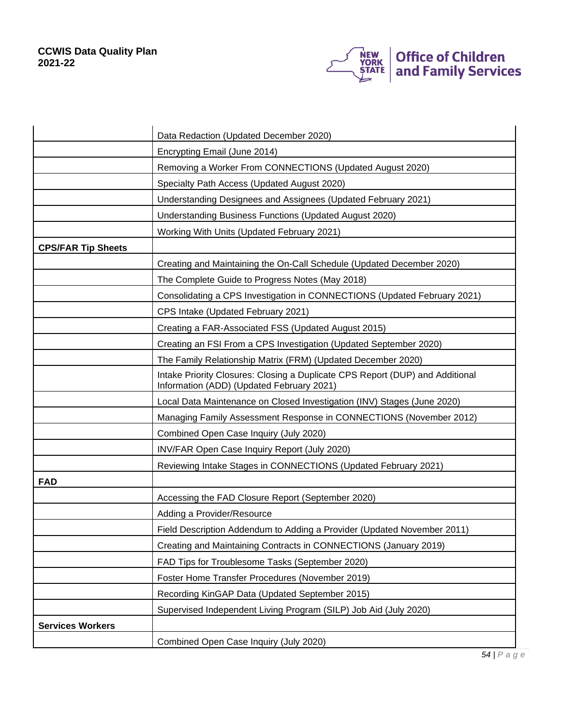

|                           | Data Redaction (Updated December 2020)                                                                                     |
|---------------------------|----------------------------------------------------------------------------------------------------------------------------|
|                           | Encrypting Email (June 2014)                                                                                               |
|                           | Removing a Worker From CONNECTIONS (Updated August 2020)                                                                   |
|                           | Specialty Path Access (Updated August 2020)                                                                                |
|                           | Understanding Designees and Assignees (Updated February 2021)                                                              |
|                           | Understanding Business Functions (Updated August 2020)                                                                     |
|                           | Working With Units (Updated February 2021)                                                                                 |
| <b>CPS/FAR Tip Sheets</b> |                                                                                                                            |
|                           | Creating and Maintaining the On-Call Schedule (Updated December 2020)                                                      |
|                           | The Complete Guide to Progress Notes (May 2018)                                                                            |
|                           | Consolidating a CPS Investigation in CONNECTIONS (Updated February 2021)                                                   |
|                           | CPS Intake (Updated February 2021)                                                                                         |
|                           | Creating a FAR-Associated FSS (Updated August 2015)                                                                        |
|                           | Creating an FSI From a CPS Investigation (Updated September 2020)                                                          |
|                           | The Family Relationship Matrix (FRM) (Updated December 2020)                                                               |
|                           | Intake Priority Closures: Closing a Duplicate CPS Report (DUP) and Additional<br>Information (ADD) (Updated February 2021) |
|                           | Local Data Maintenance on Closed Investigation (INV) Stages (June 2020)                                                    |
|                           | Managing Family Assessment Response in CONNECTIONS (November 2012)                                                         |
|                           | Combined Open Case Inquiry (July 2020)                                                                                     |
|                           | INV/FAR Open Case Inquiry Report (July 2020)                                                                               |
|                           | Reviewing Intake Stages in CONNECTIONS (Updated February 2021)                                                             |
| <b>FAD</b>                |                                                                                                                            |
|                           | Accessing the FAD Closure Report (September 2020)                                                                          |
|                           | Adding a Provider/Resource                                                                                                 |
|                           | Field Description Addendum to Adding a Provider (Updated November 2011)                                                    |
|                           | Creating and Maintaining Contracts in CONNECTIONS (January 2019)                                                           |
|                           | FAD Tips for Troublesome Tasks (September 2020)                                                                            |
|                           | Foster Home Transfer Procedures (November 2019)                                                                            |
|                           | Recording KinGAP Data (Updated September 2015)                                                                             |
|                           | Supervised Independent Living Program (SILP) Job Aid (July 2020)                                                           |
| <b>Services Workers</b>   |                                                                                                                            |
|                           | Combined Open Case Inquiry (July 2020)                                                                                     |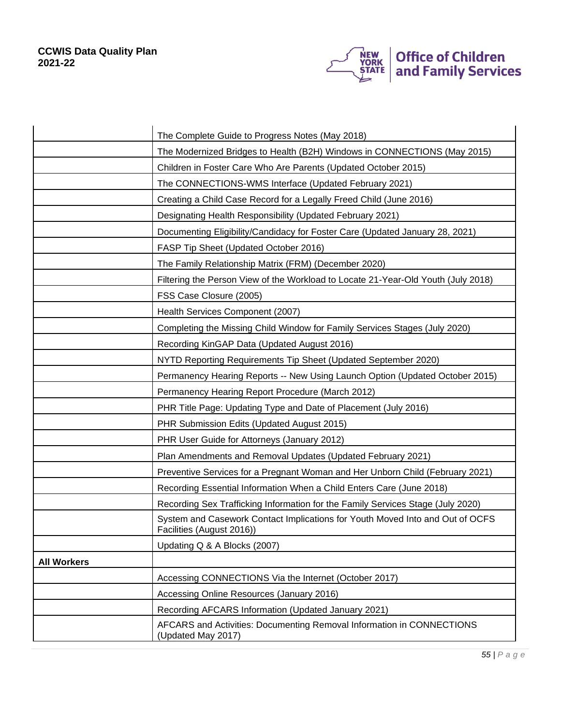

|                    | The Complete Guide to Progress Notes (May 2018)                                                            |
|--------------------|------------------------------------------------------------------------------------------------------------|
|                    | The Modernized Bridges to Health (B2H) Windows in CONNECTIONS (May 2015)                                   |
|                    | Children in Foster Care Who Are Parents (Updated October 2015)                                             |
|                    | The CONNECTIONS-WMS Interface (Updated February 2021)                                                      |
|                    | Creating a Child Case Record for a Legally Freed Child (June 2016)                                         |
|                    | Designating Health Responsibility (Updated February 2021)                                                  |
|                    | Documenting Eligibility/Candidacy for Foster Care (Updated January 28, 2021)                               |
|                    | FASP Tip Sheet (Updated October 2016)                                                                      |
|                    | The Family Relationship Matrix (FRM) (December 2020)                                                       |
|                    | Filtering the Person View of the Workload to Locate 21-Year-Old Youth (July 2018)                          |
|                    | FSS Case Closure (2005)                                                                                    |
|                    | Health Services Component (2007)                                                                           |
|                    | Completing the Missing Child Window for Family Services Stages (July 2020)                                 |
|                    | Recording KinGAP Data (Updated August 2016)                                                                |
|                    | NYTD Reporting Requirements Tip Sheet (Updated September 2020)                                             |
|                    | Permanency Hearing Reports -- New Using Launch Option (Updated October 2015)                               |
|                    | Permanency Hearing Report Procedure (March 2012)                                                           |
|                    | PHR Title Page: Updating Type and Date of Placement (July 2016)                                            |
|                    | PHR Submission Edits (Updated August 2015)                                                                 |
|                    | PHR User Guide for Attorneys (January 2012)                                                                |
|                    | Plan Amendments and Removal Updates (Updated February 2021)                                                |
|                    | Preventive Services for a Pregnant Woman and Her Unborn Child (February 2021)                              |
|                    | Recording Essential Information When a Child Enters Care (June 2018)                                       |
|                    | Recording Sex Trafficking Information for the Family Services Stage (July 2020)                            |
|                    | System and Casework Contact Implications for Youth Moved Into and Out of OCFS<br>Facilities (August 2016)) |
|                    | Updating Q & A Blocks (2007)                                                                               |
| <b>All Workers</b> |                                                                                                            |
|                    | Accessing CONNECTIONS Via the Internet (October 2017)                                                      |
|                    | Accessing Online Resources (January 2016)                                                                  |
|                    | Recording AFCARS Information (Updated January 2021)                                                        |
|                    | AFCARS and Activities: Documenting Removal Information in CONNECTIONS<br>(Updated May 2017)                |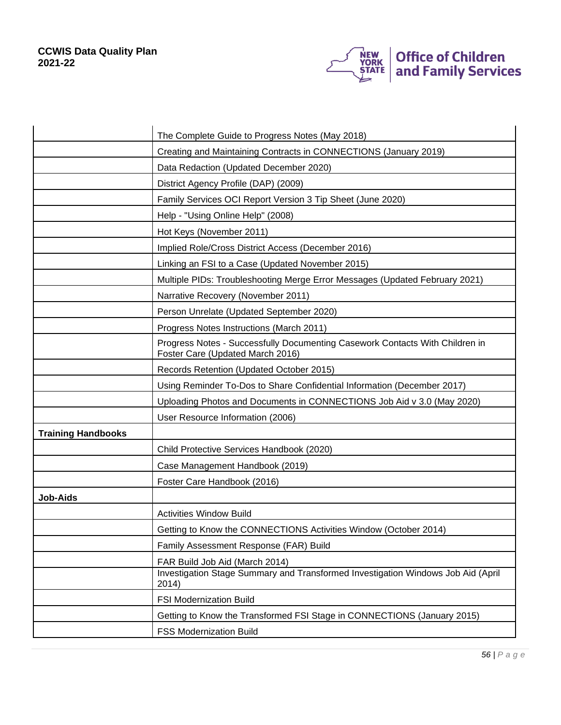

|                           | The Complete Guide to Progress Notes (May 2018)                                                                  |
|---------------------------|------------------------------------------------------------------------------------------------------------------|
|                           | Creating and Maintaining Contracts in CONNECTIONS (January 2019)                                                 |
|                           | Data Redaction (Updated December 2020)                                                                           |
|                           | District Agency Profile (DAP) (2009)                                                                             |
|                           | Family Services OCI Report Version 3 Tip Sheet (June 2020)                                                       |
|                           | Help - "Using Online Help" (2008)                                                                                |
|                           | Hot Keys (November 2011)                                                                                         |
|                           | Implied Role/Cross District Access (December 2016)                                                               |
|                           | Linking an FSI to a Case (Updated November 2015)                                                                 |
|                           | Multiple PIDs: Troubleshooting Merge Error Messages (Updated February 2021)                                      |
|                           | Narrative Recovery (November 2011)                                                                               |
|                           | Person Unrelate (Updated September 2020)                                                                         |
|                           | Progress Notes Instructions (March 2011)                                                                         |
|                           | Progress Notes - Successfully Documenting Casework Contacts With Children in<br>Foster Care (Updated March 2016) |
|                           | Records Retention (Updated October 2015)                                                                         |
|                           | Using Reminder To-Dos to Share Confidential Information (December 2017)                                          |
|                           | Uploading Photos and Documents in CONNECTIONS Job Aid v 3.0 (May 2020)                                           |
|                           | User Resource Information (2006)                                                                                 |
| <b>Training Handbooks</b> |                                                                                                                  |
|                           | Child Protective Services Handbook (2020)                                                                        |
|                           | Case Management Handbook (2019)                                                                                  |
|                           | Foster Care Handbook (2016)                                                                                      |
| <b>Job-Aids</b>           |                                                                                                                  |
|                           | <b>Activities Window Build</b>                                                                                   |
|                           | Getting to Know the CONNECTIONS Activities Window (October 2014)                                                 |
|                           | Family Assessment Response (FAR) Build                                                                           |
|                           | FAR Build Job Aid (March 2014)                                                                                   |
|                           | Investigation Stage Summary and Transformed Investigation Windows Job Aid (April<br>2014)                        |
|                           | <b>FSI Modernization Build</b>                                                                                   |
|                           | Getting to Know the Transformed FSI Stage in CONNECTIONS (January 2015)                                          |
|                           | <b>FSS Modernization Build</b>                                                                                   |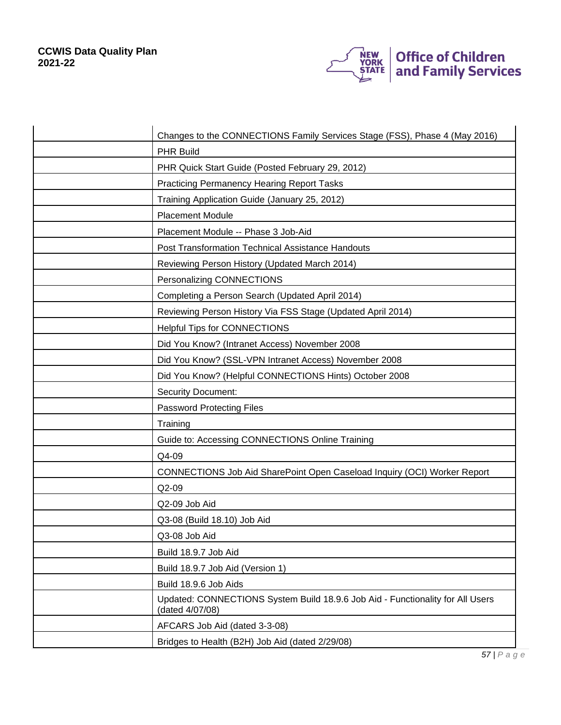

| Changes to the CONNECTIONS Family Services Stage (FSS), Phase 4 (May 2016)                        |
|---------------------------------------------------------------------------------------------------|
| <b>PHR Build</b>                                                                                  |
| PHR Quick Start Guide (Posted February 29, 2012)                                                  |
| <b>Practicing Permanency Hearing Report Tasks</b>                                                 |
| Training Application Guide (January 25, 2012)                                                     |
| <b>Placement Module</b>                                                                           |
| Placement Module -- Phase 3 Job-Aid                                                               |
| <b>Post Transformation Technical Assistance Handouts</b>                                          |
| Reviewing Person History (Updated March 2014)                                                     |
| Personalizing CONNECTIONS                                                                         |
| Completing a Person Search (Updated April 2014)                                                   |
| Reviewing Person History Via FSS Stage (Updated April 2014)                                       |
| <b>Helpful Tips for CONNECTIONS</b>                                                               |
| Did You Know? (Intranet Access) November 2008                                                     |
| Did You Know? (SSL-VPN Intranet Access) November 2008                                             |
| Did You Know? (Helpful CONNECTIONS Hints) October 2008                                            |
| <b>Security Document:</b>                                                                         |
| <b>Password Protecting Files</b>                                                                  |
| Training                                                                                          |
| Guide to: Accessing CONNECTIONS Online Training                                                   |
| Q4-09                                                                                             |
| CONNECTIONS Job Aid SharePoint Open Caseload Inquiry (OCI) Worker Report                          |
| $Q2-09$                                                                                           |
| Q2-09 Job Aid                                                                                     |
| Q3-08 (Build 18.10) Job Aid                                                                       |
| Q3-08 Job Aid                                                                                     |
| Build 18.9.7 Job Aid                                                                              |
| Build 18.9.7 Job Aid (Version 1)                                                                  |
| Build 18.9.6 Job Aids                                                                             |
| Updated: CONNECTIONS System Build 18.9.6 Job Aid - Functionality for All Users<br>(dated 4/07/08) |
| AFCARS Job Aid (dated 3-3-08)                                                                     |
| Bridges to Health (B2H) Job Aid (dated 2/29/08)                                                   |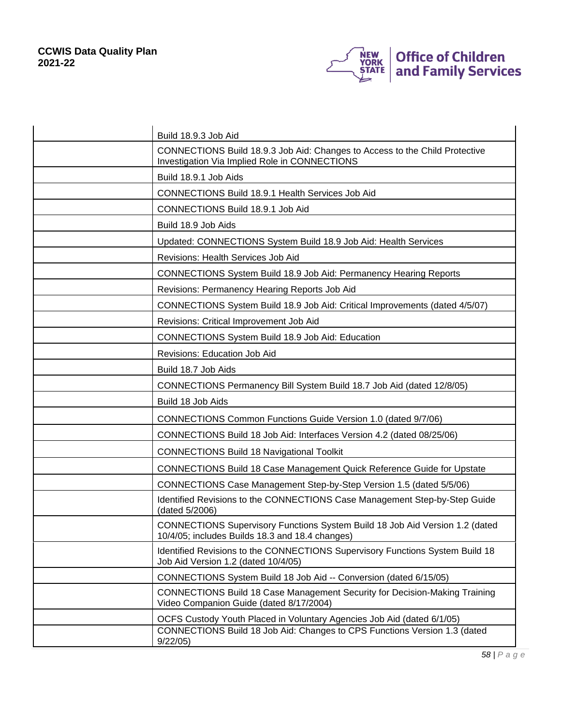

| Build 18.9.3 Job Aid                                                                                                            |
|---------------------------------------------------------------------------------------------------------------------------------|
| CONNECTIONS Build 18.9.3 Job Aid: Changes to Access to the Child Protective<br>Investigation Via Implied Role in CONNECTIONS    |
| Build 18.9.1 Job Aids                                                                                                           |
| CONNECTIONS Build 18.9.1 Health Services Job Aid                                                                                |
| CONNECTIONS Build 18.9.1 Job Aid                                                                                                |
| Build 18.9 Job Aids                                                                                                             |
| Updated: CONNECTIONS System Build 18.9 Job Aid: Health Services                                                                 |
| Revisions: Health Services Job Aid                                                                                              |
| <b>CONNECTIONS System Build 18.9 Job Aid: Permanency Hearing Reports</b>                                                        |
| Revisions: Permanency Hearing Reports Job Aid                                                                                   |
| CONNECTIONS System Build 18.9 Job Aid: Critical Improvements (dated 4/5/07)                                                     |
| Revisions: Critical Improvement Job Aid                                                                                         |
| <b>CONNECTIONS System Build 18.9 Job Aid: Education</b>                                                                         |
| Revisions: Education Job Aid                                                                                                    |
| Build 18.7 Job Aids                                                                                                             |
| CONNECTIONS Permanency Bill System Build 18.7 Job Aid (dated 12/8/05)                                                           |
| Build 18 Job Aids                                                                                                               |
| <b>CONNECTIONS Common Functions Guide Version 1.0 (dated 9/7/06)</b>                                                            |
| CONNECTIONS Build 18 Job Aid: Interfaces Version 4.2 (dated 08/25/06)                                                           |
| <b>CONNECTIONS Build 18 Navigational Toolkit</b>                                                                                |
| <b>CONNECTIONS Build 18 Case Management Quick Reference Guide for Upstate</b>                                                   |
| CONNECTIONS Case Management Step-by-Step Version 1.5 (dated 5/5/06)                                                             |
| Identified Revisions to the CONNECTIONS Case Management Step-by-Step Guide<br>(dated 5/2006)                                    |
| CONNECTIONS Supervisory Functions System Build 18 Job Aid Version 1.2 (dated<br>10/4/05; includes Builds 18.3 and 18.4 changes) |
| Identified Revisions to the CONNECTIONS Supervisory Functions System Build 18<br>Job Aid Version 1.2 (dated 10/4/05)            |
| CONNECTIONS System Build 18 Job Aid -- Conversion (dated 6/15/05)                                                               |
| <b>CONNECTIONS Build 18 Case Management Security for Decision-Making Training</b><br>Video Companion Guide (dated 8/17/2004)    |
| OCFS Custody Youth Placed in Voluntary Agencies Job Aid (dated 6/1/05)                                                          |
| CONNECTIONS Build 18 Job Aid: Changes to CPS Functions Version 1.3 (dated<br>9/22/05                                            |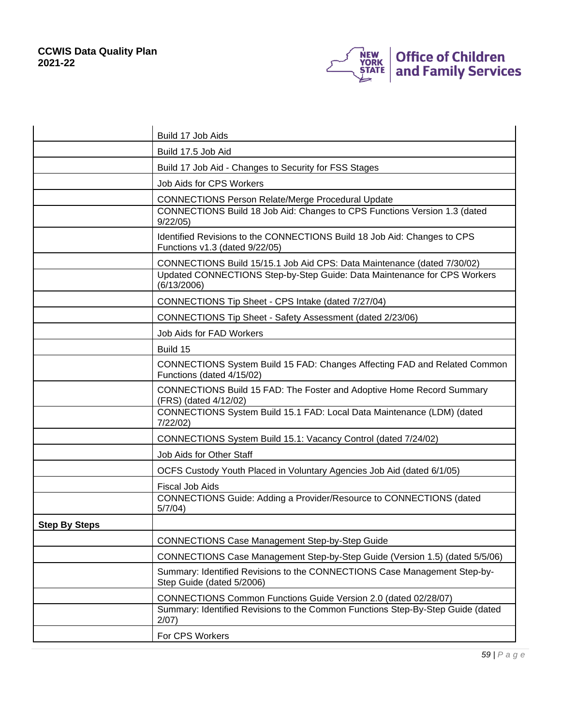

|                      | Build 17 Job Aids                                                                                          |
|----------------------|------------------------------------------------------------------------------------------------------------|
|                      | Build 17.5 Job Aid                                                                                         |
|                      | Build 17 Job Aid - Changes to Security for FSS Stages                                                      |
|                      | <b>Job Aids for CPS Workers</b>                                                                            |
|                      | <b>CONNECTIONS Person Relate/Merge Procedural Update</b>                                                   |
|                      | CONNECTIONS Build 18 Job Aid: Changes to CPS Functions Version 1.3 (dated<br>9/22/05                       |
|                      | Identified Revisions to the CONNECTIONS Build 18 Job Aid: Changes to CPS<br>Functions v1.3 (dated 9/22/05) |
|                      | CONNECTIONS Build 15/15.1 Job Aid CPS: Data Maintenance (dated 7/30/02)                                    |
|                      | Updated CONNECTIONS Step-by-Step Guide: Data Maintenance for CPS Workers<br>(6/13/2006)                    |
|                      | CONNECTIONS Tip Sheet - CPS Intake (dated 7/27/04)                                                         |
|                      | CONNECTIONS Tip Sheet - Safety Assessment (dated 2/23/06)                                                  |
|                      | Job Aids for FAD Workers                                                                                   |
|                      | Build 15                                                                                                   |
|                      | CONNECTIONS System Build 15 FAD: Changes Affecting FAD and Related Common<br>Functions (dated 4/15/02)     |
|                      | <b>CONNECTIONS Build 15 FAD: The Foster and Adoptive Home Record Summary</b><br>(FRS) (dated 4/12/02)      |
|                      | CONNECTIONS System Build 15.1 FAD: Local Data Maintenance (LDM) (dated<br>7/22/02                          |
|                      | CONNECTIONS System Build 15.1: Vacancy Control (dated 7/24/02)                                             |
|                      | Job Aids for Other Staff                                                                                   |
|                      | OCFS Custody Youth Placed in Voluntary Agencies Job Aid (dated 6/1/05)                                     |
|                      | <b>Fiscal Job Aids</b>                                                                                     |
|                      | CONNECTIONS Guide: Adding a Provider/Resource to CONNECTIONS (dated<br>5/7/04)                             |
| <b>Step By Steps</b> |                                                                                                            |
|                      | <b>CONNECTIONS Case Management Step-by-Step Guide</b>                                                      |
|                      | CONNECTIONS Case Management Step-by-Step Guide (Version 1.5) (dated 5/5/06)                                |
|                      | Summary: Identified Revisions to the CONNECTIONS Case Management Step-by-<br>Step Guide (dated 5/2006)     |
|                      | CONNECTIONS Common Functions Guide Version 2.0 (dated 02/28/07)                                            |
|                      | Summary: Identified Revisions to the Common Functions Step-By-Step Guide (dated<br>2/07)                   |
|                      | For CPS Workers                                                                                            |